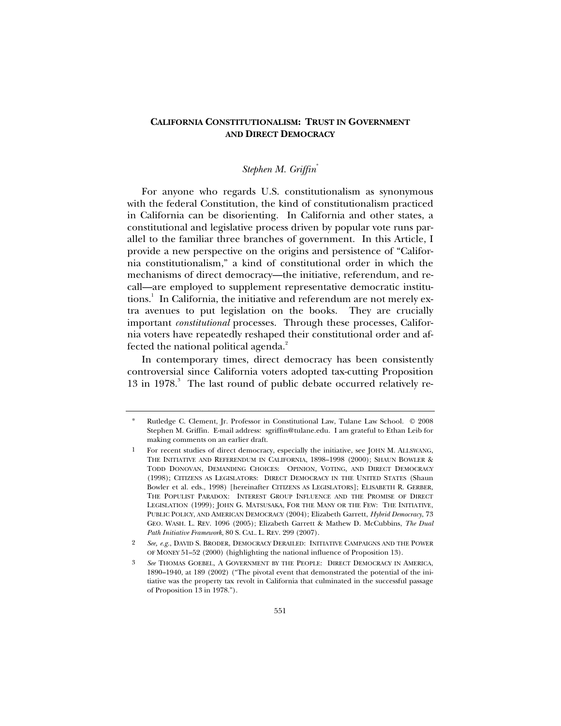# **CALIFORNIA CONSTITUTIONALISM: TRUST IN GOVERNMENT AND DIRECT DEMOCRACY**

# *Stephen M. Griffin*\*

For anyone who regards U.S. constitutionalism as synonymous with the federal Constitution, the kind of constitutionalism practiced in California can be disorienting. In California and other states, a constitutional and legislative process driven by popular vote runs parallel to the familiar three branches of government. In this Article, I provide a new perspective on the origins and persistence of "California constitutionalism," a kind of constitutional order in which the mechanisms of direct democracy—the initiative, referendum, and recall—are employed to supplement representative democratic institutions.<sup>1</sup> In California, the initiative and referendum are not merely extra avenues to put legislation on the books. They are crucially important *constitutional* processes. Through these processes, California voters have repeatedly reshaped their constitutional order and affected the national political agenda.<sup>2</sup>

In contemporary times, direct democracy has been consistently controversial since California voters adopted tax-cutting Proposition 13 in 1978.<sup>3</sup> The last round of public debate occurred relatively re-

<sup>\*</sup> Rutledge C. Clement, Jr. Professor in Constitutional Law, Tulane Law School. © 2008 Stephen M. Griffin. E-mail address: sgriffin@tulane.edu. I am grateful to Ethan Leib for making comments on an earlier draft.

<sup>1</sup> For recent studies of direct democracy, especially the initiative, see JOHN M. ALLSWANG, THE INITIATIVE AND REFERENDUM IN CALIFORNIA, 1898–1998 (2000); SHAUN BOWLER & TODD DONOVAN, DEMANDING CHOICES: OPINION, VOTING, AND DIRECT DEMOCRACY (1998); CITIZENS AS LEGISLATORS: DIRECT DEMOCRACY IN THE UNITED STATES (Shaun Bowler et al. eds., 1998) [hereinafter CITIZENS AS LEGISLATORS]; ELISABETH R. GERBER, THE POPULIST PARADOX: INTEREST GROUP INFLUENCE AND THE PROMISE OF DIRECT LEGISLATION (1999); JOHN G. MATSUSAKA, FOR THE MANY OR THE FEW: THE INITIATIVE, PUBLIC POLICY, AND AMERICAN DEMOCRACY (2004); Elizabeth Garrett, *Hybrid Democracy*, 73 GEO. WASH. L. REV. 1096 (2005); Elizabeth Garrett & Mathew D. McCubbins, *The Dual Path Initiative Framework*, 80 S. CAL. L. REV. 299 (2007).

<sup>2</sup> *See, e.g.*, DAVID S. BRODER, DEMOCRACY DERAILED: INITIATIVE CAMPAIGNS AND THE POWER OF MONEY 51–52 (2000) (highlighting the national influence of Proposition 13).

<sup>3</sup> *See* THOMAS GOEBEL, A GOVERNMENT BY THE PEOPLE: DIRECT DEMOCRACY IN AMERICA, 1890–1940, at 189 (2002) ("The pivotal event that demonstrated the potential of the initiative was the property tax revolt in California that culminated in the successful passage of Proposition 13 in 1978.").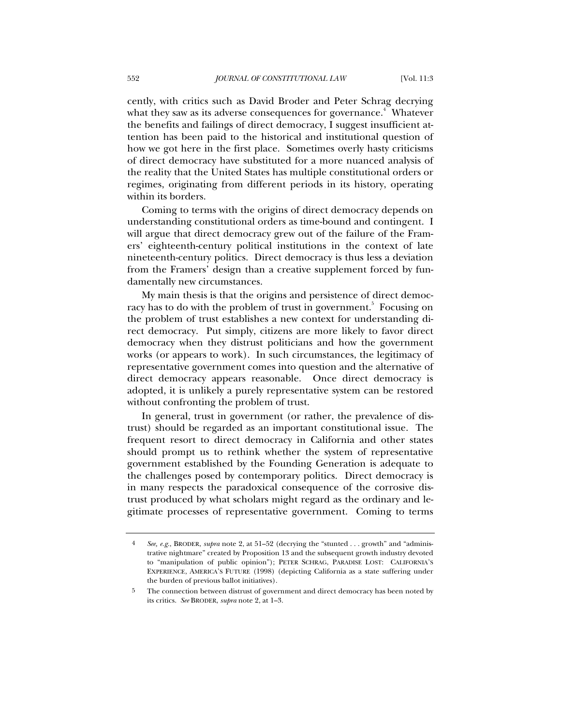cently, with critics such as David Broder and Peter Schrag decrying what they saw as its adverse consequences for governance. $^4$  Whatever the benefits and failings of direct democracy, I suggest insufficient attention has been paid to the historical and institutional question of how we got here in the first place. Sometimes overly hasty criticisms of direct democracy have substituted for a more nuanced analysis of the reality that the United States has multiple constitutional orders or regimes, originating from different periods in its history, operating within its borders.

Coming to terms with the origins of direct democracy depends on understanding constitutional orders as time-bound and contingent. I will argue that direct democracy grew out of the failure of the Framers' eighteenth-century political institutions in the context of late nineteenth-century politics. Direct democracy is thus less a deviation from the Framers' design than a creative supplement forced by fundamentally new circumstances.

My main thesis is that the origins and persistence of direct democracy has to do with the problem of trust in government.<sup>5</sup> Focusing on the problem of trust establishes a new context for understanding direct democracy. Put simply, citizens are more likely to favor direct democracy when they distrust politicians and how the government works (or appears to work). In such circumstances, the legitimacy of representative government comes into question and the alternative of direct democracy appears reasonable. Once direct democracy is adopted, it is unlikely a purely representative system can be restored without confronting the problem of trust.

In general, trust in government (or rather, the prevalence of distrust) should be regarded as an important constitutional issue. The frequent resort to direct democracy in California and other states should prompt us to rethink whether the system of representative government established by the Founding Generation is adequate to the challenges posed by contemporary politics. Direct democracy is in many respects the paradoxical consequence of the corrosive distrust produced by what scholars might regard as the ordinary and legitimate processes of representative government. Coming to terms

<sup>4</sup> *See, e.g.*, BRODER, *supra* note 2, at 51–52 (decrying the "stunted . . . growth" and "administrative nightmare" created by Proposition 13 and the subsequent growth industry devoted to "manipulation of public opinion"); PETER SCHRAG, PARADISE LOST: CALIFORNIA'S EXPERIENCE, AMERICA'S FUTURE (1998) (depicting California as a state suffering under the burden of previous ballot initiatives).

<sup>5</sup> The connection between distrust of government and direct democracy has been noted by its critics. *See* BRODER, *supra* note 2, at 1–3.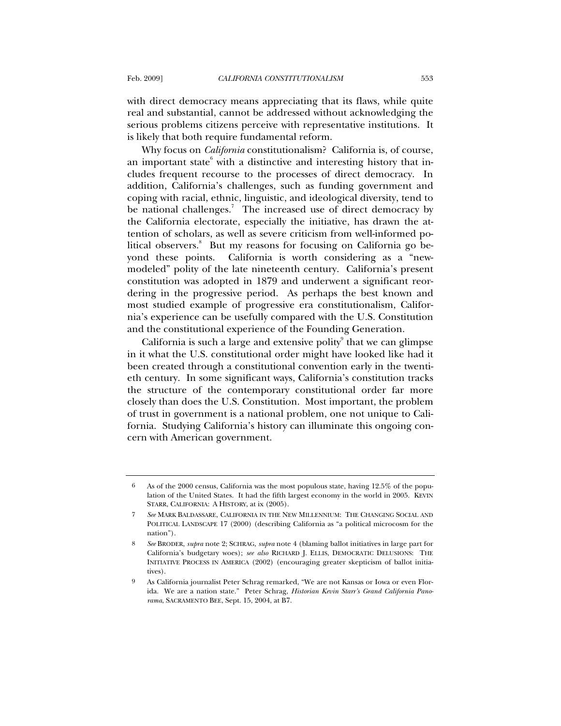with direct democracy means appreciating that its flaws, while quite real and substantial, cannot be addressed without acknowledging the serious problems citizens perceive with representative institutions. It is likely that both require fundamental reform.

Why focus on *California* constitutionalism? California is, of course, an important state $^6$  with a distinctive and interesting history that includes frequent recourse to the processes of direct democracy. In addition, California's challenges, such as funding government and coping with racial, ethnic, linguistic, and ideological diversity, tend to be national challenges.<sup>7</sup> The increased use of direct democracy by the California electorate, especially the initiative, has drawn the attention of scholars, as well as severe criticism from well-informed political observers.<sup>8</sup> But my reasons for focusing on California go beyond these points. California is worth considering as a "newmodeled" polity of the late nineteenth century. California's present constitution was adopted in 1879 and underwent a significant reordering in the progressive period. As perhaps the best known and most studied example of progressive era constitutionalism, California's experience can be usefully compared with the U.S. Constitution and the constitutional experience of the Founding Generation.

California is such a large and extensive polity $\degree$  that we can glimpse in it what the U.S. constitutional order might have looked like had it been created through a constitutional convention early in the twentieth century. In some significant ways, California's constitution tracks the structure of the contemporary constitutional order far more closely than does the U.S. Constitution. Most important, the problem of trust in government is a national problem, one not unique to California. Studying California's history can illuminate this ongoing concern with American government.

<sup>6</sup> As of the 2000 census, California was the most populous state, having 12.5% of the population of the United States. It had the fifth largest economy in the world in 2005. KEVIN STARR, CALIFORNIA: A HISTORY, at ix (2005).

<sup>7</sup> *See* MARK BALDASSARE, CALIFORNIA IN THE NEW MILLENNIUM: THE CHANGING SOCIAL AND POLITICAL LANDSCAPE 17 (2000) (describing California as "a political microcosm for the nation").

<sup>8</sup> *See* BRODER, *supra* note 2; SCHRAG, *supra* note 4 (blaming ballot initiatives in large part for California's budgetary woes); *see also* RICHARD J. ELLIS, DEMOCRATIC DELUSIONS: THE INITIATIVE PROCESS IN AMERICA (2002) (encouraging greater skepticism of ballot initiatives).

<sup>9</sup> As California journalist Peter Schrag remarked, "We are not Kansas or Iowa or even Florida. We are a nation state." Peter Schrag, *Historian Kevin Starr's Grand California Panorama*, SACRAMENTO BEE, Sept. 15, 2004, at B7.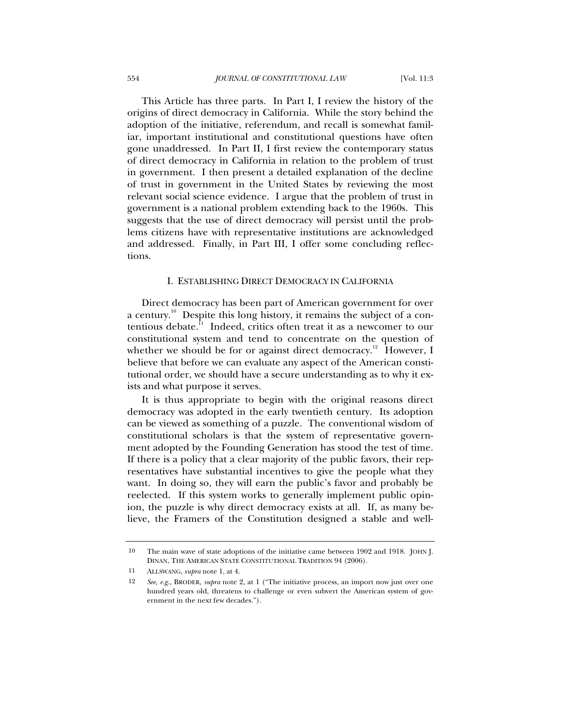This Article has three parts. In Part I, I review the history of the origins of direct democracy in California. While the story behind the adoption of the initiative, referendum, and recall is somewhat familiar, important institutional and constitutional questions have often gone unaddressed. In Part II, I first review the contemporary status of direct democracy in California in relation to the problem of trust in government. I then present a detailed explanation of the decline of trust in government in the United States by reviewing the most relevant social science evidence. I argue that the problem of trust in government is a national problem extending back to the 1960s. This suggests that the use of direct democracy will persist until the problems citizens have with representative institutions are acknowledged and addressed. Finally, in Part III, I offer some concluding reflections.

#### I. ESTABLISHING DIRECT DEMOCRACY IN CALIFORNIA

Direct democracy has been part of American government for over a century.<sup>10</sup> Despite this long history, it remains the subject of a contentious debate.<sup>11</sup> Indeed, critics often treat it as a newcomer to our constitutional system and tend to concentrate on the question of whether we should be for or against direct democracy.<sup>12</sup> However, I believe that before we can evaluate any aspect of the American constitutional order, we should have a secure understanding as to why it exists and what purpose it serves.

It is thus appropriate to begin with the original reasons direct democracy was adopted in the early twentieth century. Its adoption can be viewed as something of a puzzle. The conventional wisdom of constitutional scholars is that the system of representative government adopted by the Founding Generation has stood the test of time. If there is a policy that a clear majority of the public favors, their representatives have substantial incentives to give the people what they want. In doing so, they will earn the public's favor and probably be reelected. If this system works to generally implement public opinion, the puzzle is why direct democracy exists at all. If, as many believe, the Framers of the Constitution designed a stable and well-

<sup>10</sup> The main wave of state adoptions of the initiative came between 1902 and 1918. JOHN J. DINAN, THE AMERICAN STATE CONSTITUTIONAL TRADITION 94 (2006).

<sup>11</sup> ALLSWANG, *supra* note 1, at 4.

<sup>12</sup> *See, e.g.*, BRODER, *supra* note 2, at 1 ("The initiative process, an import now just over one hundred years old, threatens to challenge or even subvert the American system of government in the next few decades.").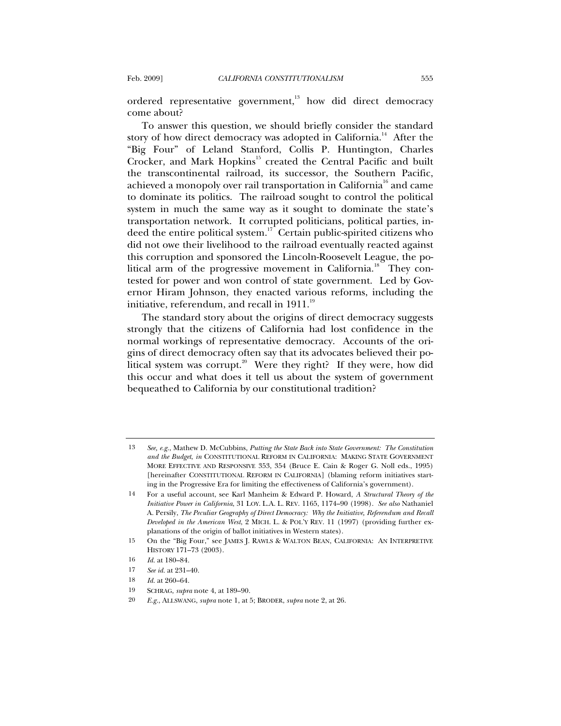ordered representative government,<sup>13</sup> how did direct democracy come about?

To answer this question, we should briefly consider the standard story of how direct democracy was adopted in California.<sup>14</sup> After the "Big Four" of Leland Stanford, Collis P. Huntington, Charles Crocker, and Mark Hopkins<sup>15</sup> created the Central Pacific and built the transcontinental railroad, its successor, the Southern Pacific, achieved a monopoly over rail transportation in California<sup>16</sup> and came to dominate its politics. The railroad sought to control the political system in much the same way as it sought to dominate the state's transportation network. It corrupted politicians, political parties, indeed the entire political system.17 Certain public-spirited citizens who did not owe their livelihood to the railroad eventually reacted against this corruption and sponsored the Lincoln-Roosevelt League, the political arm of the progressive movement in California.<sup>18</sup> They contested for power and won control of state government. Led by Governor Hiram Johnson, they enacted various reforms, including the initiative, referendum, and recall in  $1911$ .<sup>19</sup>

The standard story about the origins of direct democracy suggests strongly that the citizens of California had lost confidence in the normal workings of representative democracy. Accounts of the origins of direct democracy often say that its advocates believed their political system was corrupt.<sup>20</sup> Were they right? If they were, how did this occur and what does it tell us about the system of government bequeathed to California by our constitutional tradition?

<sup>13</sup> *See, e.g.*, Mathew D. McCubbins, *Putting the State Back into State Government: The Constitution and the Budget*, *in* CONSTITUTIONAL REFORM IN CALIFORNIA: MAKING STATE GOVERNMENT MORE EFFECTIVE AND RESPONSIVE 353, 354 (Bruce E. Cain & Roger G. Noll eds., 1995) [hereinafter CONSTITUTIONAL REFORM IN CALIFORNIA] (blaming reform initiatives starting in the Progressive Era for limiting the effectiveness of California's government).

<sup>14</sup> For a useful account, see Karl Manheim & Edward P. Howard, *A Structural Theory of the Initiative Power in California*, 31 LOY. L.A. L. REV. 1165, 1174–90 (1998). *See also* Nathaniel A. Persily, *The Peculiar Geography of Direct Democracy: Why the Initiative, Referendum and Recall Developed in the American West*, 2 MICH. L. & POL'Y REV. 11 (1997) (providing further explanations of the origin of ballot initiatives in Western states).

<sup>15</sup> On the "Big Four," see JAMES J. RAWLS & WALTON BEAN, CALIFORNIA: AN INTERPRETIVE HISTORY 171–73 (2003).

<sup>16</sup> *Id.* at 180–84.

<sup>17</sup> *See id.* at 231–40.

<sup>18</sup> *Id.* at 260–64.

<sup>19</sup> SCHRAG, *supra* note 4, at 189–90.

<sup>20</sup> *E.g.*, ALLSWANG, *supra* note 1, at 5; BRODER, *supra* note 2, at 26.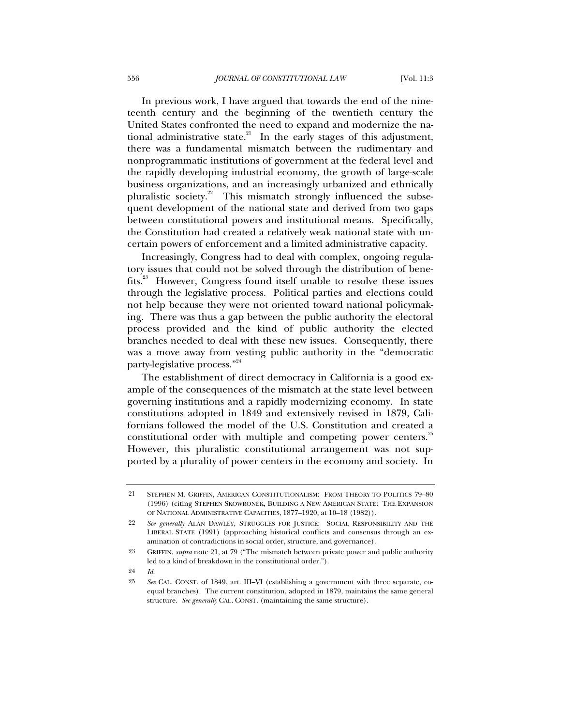In previous work, I have argued that towards the end of the nineteenth century and the beginning of the twentieth century the United States confronted the need to expand and modernize the national administrative state.<sup>21</sup> In the early stages of this adjustment, there was a fundamental mismatch between the rudimentary and nonprogrammatic institutions of government at the federal level and the rapidly developing industrial economy, the growth of large-scale business organizations, and an increasingly urbanized and ethnically pluralistic society. $2^2$  This mismatch strongly influenced the subsequent development of the national state and derived from two gaps between constitutional powers and institutional means. Specifically, the Constitution had created a relatively weak national state with uncertain powers of enforcement and a limited administrative capacity.

Increasingly, Congress had to deal with complex, ongoing regulatory issues that could not be solved through the distribution of benefits.23 However, Congress found itself unable to resolve these issues through the legislative process. Political parties and elections could not help because they were not oriented toward national policymaking. There was thus a gap between the public authority the electoral process provided and the kind of public authority the elected branches needed to deal with these new issues. Consequently, there was a move away from vesting public authority in the "democratic party-legislative process."<sup>24</sup>

The establishment of direct democracy in California is a good example of the consequences of the mismatch at the state level between governing institutions and a rapidly modernizing economy. In state constitutions adopted in 1849 and extensively revised in 1879, Californians followed the model of the U.S. Constitution and created a constitutional order with multiple and competing power centers.<sup>25</sup> However, this pluralistic constitutional arrangement was not supported by a plurality of power centers in the economy and society. In

24 *Id*.

<sup>21</sup> STEPHEN M. GRIFFIN, AMERICAN CONSTITUTIONALISM: FROM THEORY TO POLITICS 79–80 (1996) (citing STEPHEN SKOWRONEK, BUILDING A NEW AMERICAN STATE: THE EXPANSION OF NATIONAL ADMINISTRATIVE CAPACITIES, 1877–1920, at 10–18 (1982)).

<sup>22</sup> *See generally* ALAN DAWLEY, STRUGGLES FOR JUSTICE: SOCIAL RESPONSIBILITY AND THE LIBERAL STATE (1991) (approaching historical conflicts and consensus through an examination of contradictions in social order, structure, and governance).

<sup>23</sup> GRIFFIN, *supra* note 21, at 79 ("The mismatch between private power and public authority led to a kind of breakdown in the constitutional order.").

<sup>25</sup> *See* CAL. CONST. of 1849, art. III–VI (establishing a government with three separate, coequal branches). The current constitution, adopted in 1879, maintains the same general structure. *See generally* CAL. CONST. (maintaining the same structure).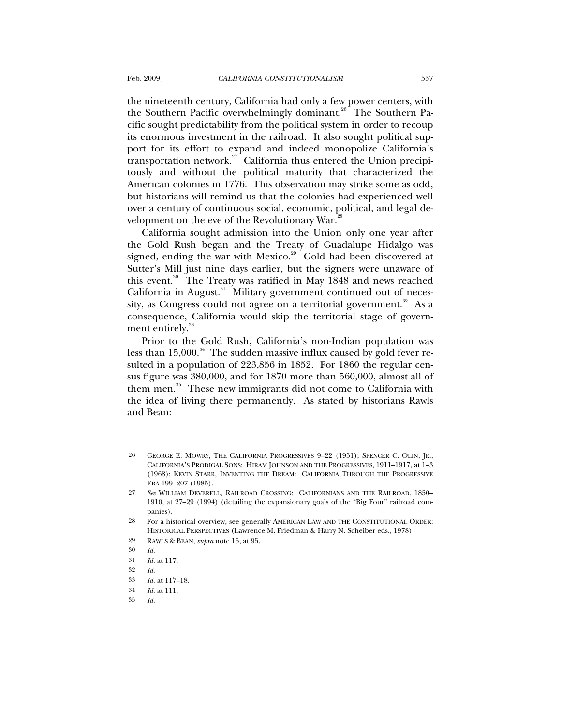the nineteenth century, California had only a few power centers, with the Southern Pacific overwhelmingly dominant.<sup>26</sup> The Southern Pacific sought predictability from the political system in order to recoup its enormous investment in the railroad. It also sought political support for its effort to expand and indeed monopolize California's transportation network.<sup>27</sup> California thus entered the Union precipitously and without the political maturity that characterized the American colonies in 1776. This observation may strike some as odd, but historians will remind us that the colonies had experienced well over a century of continuous social, economic, political, and legal development on the eve of the Revolutionary War.<sup>2</sup>

California sought admission into the Union only one year after the Gold Rush began and the Treaty of Guadalupe Hidalgo was signed, ending the war with Mexico.<sup>29</sup> Gold had been discovered at Sutter's Mill just nine days earlier, but the signers were unaware of this event.<sup>30</sup> The Treaty was ratified in May 1848 and news reached California in August. $31$  Military government continued out of necessity, as Congress could not agree on a territorial government.<sup>32</sup> As a consequence, California would skip the territorial stage of government entirely.<sup>33</sup>

Prior to the Gold Rush, California's non-Indian population was less than  $15,000$ .<sup>34</sup> The sudden massive influx caused by gold fever resulted in a population of 223,856 in 1852. For 1860 the regular census figure was 380,000, and for 1870 more than 560,000, almost all of them men.<sup>35</sup> These new immigrants did not come to California with the idea of living there permanently. As stated by historians Rawls and Bean:

<sup>26</sup> GEORGE E. MOWRY, THE CALIFORNIA PROGRESSIVES 9–22 (1951); SPENCER C. OLIN, JR., CALIFORNIA'S PRODIGAL SONS: HIRAM JOHNSON AND THE PROGRESSIVES, 1911–1917, at 1–3 (1968); KEVIN STARR, INVENTING THE DREAM: CALIFORNIA THROUGH THE PROGRESSIVE ERA 199–207 (1985).

<sup>27</sup> *See* WILLIAM DEVERELL, RAILROAD CROSSING: CALIFORNIANS AND THE RAILROAD, 1850– 1910, at 27–29 (1994) (detailing the expansionary goals of the "Big Four" railroad companies).

<sup>28</sup> For a historical overview, see generally AMERICAN LAW AND THE CONSTITUTIONAL ORDER: HISTORICAL PERSPECTIVES (Lawrence M. Friedman & Harry N. Scheiber eds., 1978).

<sup>29</sup> RAWLS & BEAN, *supra* note 15, at 95.

<sup>30</sup> *Id.*

<sup>31</sup> *Id.* at 117.

<sup>32</sup> *Id.*

<sup>33</sup> *Id.* at 117–18.

<sup>34</sup> *Id.* at 111.

<sup>35</sup> *Id.*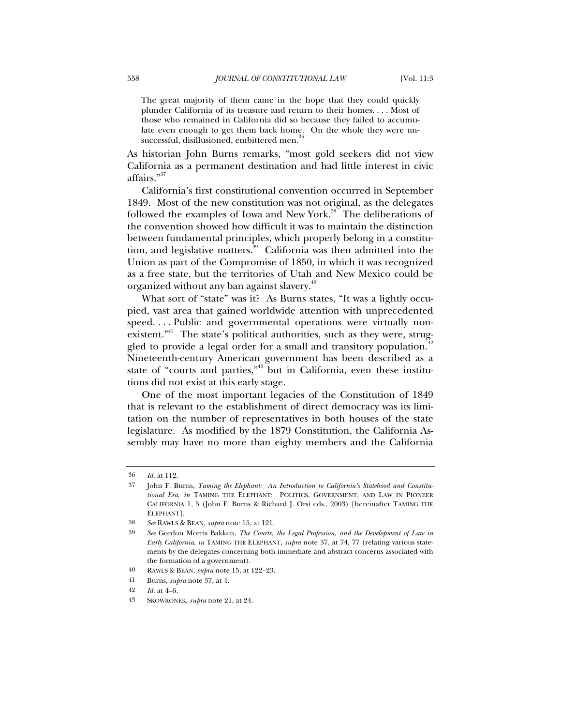The great majority of them came in the hope that they could quickly plunder California of its treasure and return to their homes. . . . Most of those who remained in California did so because they failed to accumulate even enough to get them back home. On the whole they were unsuccessful, disillusioned, embittered men.<sup>3</sup>

As historian John Burns remarks, "most gold seekers did not view California as a permanent destination and had little interest in civic affairs."<sup>37</sup>

California's first constitutional convention occurred in September 1849. Most of the new constitution was not original, as the delegates followed the examples of Iowa and New York.<sup>38</sup> The deliberations of the convention showed how difficult it was to maintain the distinction between fundamental principles, which properly belong in a constitution, and legislative matters.<sup>39</sup> California was then admitted into the Union as part of the Compromise of 1850, in which it was recognized as a free state, but the territories of Utah and New Mexico could be organized without any ban against slavery.<sup>40</sup>

What sort of "state" was it? As Burns states, "It was a lightly occupied, vast area that gained worldwide attention with unprecedented speed. . . . Public and governmental operations were virtually nonexistent."<sup>41</sup> The state's political authorities, such as they were, struggled to provide a legal order for a small and transitory population.<sup>42</sup> Nineteenth-century American government has been described as a state of "courts and parties," $3<sup>43</sup>$  but in California, even these institutions did not exist at this early stage.

One of the most important legacies of the Constitution of 1849 that is relevant to the establishment of direct democracy was its limitation on the number of representatives in both houses of the state legislature. As modified by the 1879 Constitution, the California Assembly may have no more than eighty members and the California

<sup>36</sup> *Id.* at 112.

<sup>37</sup> John F. Burns, *Taming the Elephant: An Introduction to California's Statehood and Constitutional Era*, *in* TAMING THE ELEPHANT: POLITICS, GOVERNMENT, AND LAW IN PIONEER CALIFORNIA 1, 5 (John F. Burns & Richard J. Orsi eds., 2003) [hereinafter TAMING THE ELEPHANT].

<sup>38</sup> *See* RAWLS & BEAN, *supra* note 15, at 121.

<sup>39</sup> *See* Gordon Morris Bakken, *The Courts, the Legal Profession, and the Development of Law in Early California*, *in* TAMING THE ELEPHANT, *supra* note 37, at 74, 77 (relating various statements by the delegates concerning both immediate and abstract concerns associated with the formation of a government).

<sup>40</sup> RAWLS & BEAN, *supra* note 15, at 122–23.

<sup>41</sup> Burns, *supra* note 37, at 4.

<sup>42</sup> *Id.* at 4–6.

<sup>43</sup> SKOWRONEK, *supra* note 21, at 24.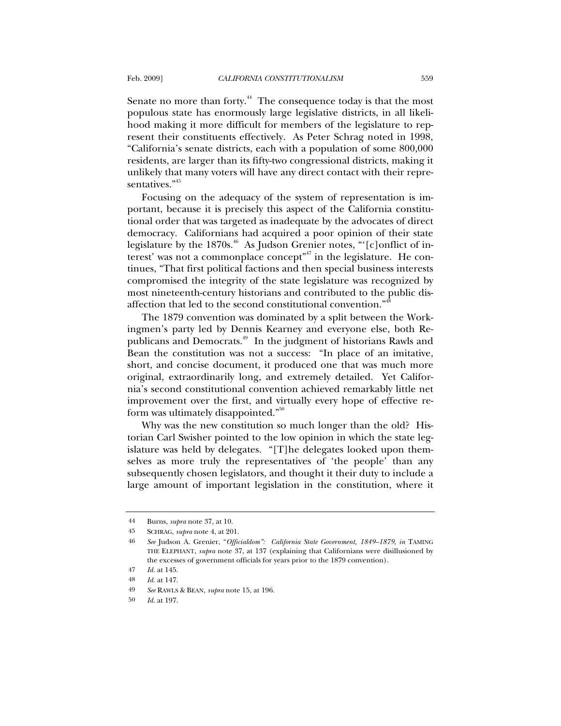Senate no more than forty.<sup>44</sup> The consequence today is that the most populous state has enormously large legislative districts, in all likelihood making it more difficult for members of the legislature to represent their constituents effectively. As Peter Schrag noted in 1998, "California's senate districts, each with a population of some 800,000 residents, are larger than its fifty-two congressional districts, making it unlikely that many voters will have any direct contact with their representatives."<sup>45</sup>

Focusing on the adequacy of the system of representation is important, because it is precisely this aspect of the California constitutional order that was targeted as inadequate by the advocates of direct democracy. Californians had acquired a poor opinion of their state legislature by the 1870s. $46$  As Judson Grenier notes, "[c]onflict of interest' was not a commonplace concept"<sup>47</sup> in the legislature. He continues, "That first political factions and then special business interests compromised the integrity of the state legislature was recognized by most nineteenth-century historians and contributed to the public disaffection that led to the second constitutional convention."<sup>48</sup>

The 1879 convention was dominated by a split between the Workingmen's party led by Dennis Kearney and everyone else, both Republicans and Democrats.<sup>49</sup> In the judgment of historians Rawls and Bean the constitution was not a success: "In place of an imitative, short, and concise document, it produced one that was much more original, extraordinarily long, and extremely detailed. Yet California's second constitutional convention achieved remarkably little net improvement over the first, and virtually every hope of effective reform was ultimately disappointed." $50$ 

Why was the new constitution so much longer than the old? Historian Carl Swisher pointed to the low opinion in which the state legislature was held by delegates. "[T]he delegates looked upon themselves as more truly the representatives of 'the people' than any subsequently chosen legislators, and thought it their duty to include a large amount of important legislation in the constitution, where it

<sup>44</sup> Burns, *supra* note 37, at 10.

<sup>45</sup> SCHRAG, *supra* note 4, at 201.

<sup>46</sup> *See* Judson A. Grenier, "*Officialdom": California State Government, 1849–1879*, *in* TAMING THE ELEPHANT, *supra* note 37, at 137 (explaining that Californians were disillusioned by the excesses of government officials for years prior to the 1879 convention).

<sup>47</sup> *Id.* at 145.

<sup>48</sup> *Id.* at 147.

<sup>49</sup> *See* RAWLS & BEAN, *supra* note 15, at 196.

<sup>50</sup> *Id.* at 197.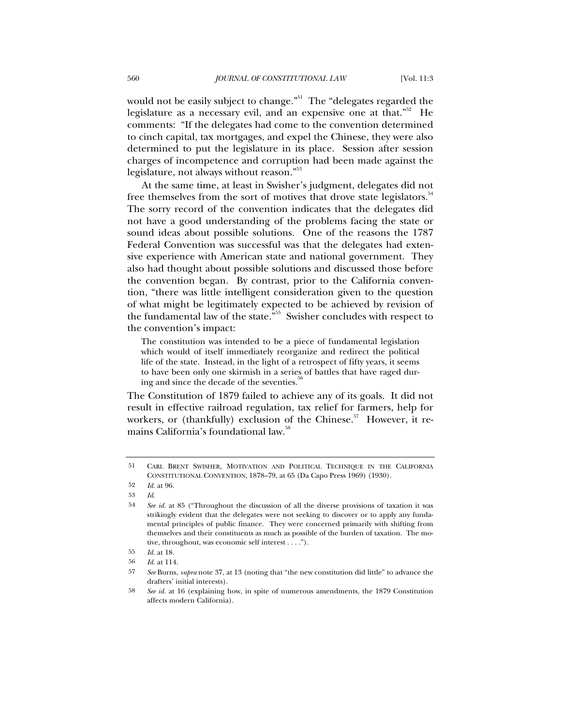would not be easily subject to change."<sup>51</sup> The "delegates regarded the legislature as a necessary evil, and an expensive one at that.<sup> $52$ </sup> He comments: "If the delegates had come to the convention determined to cinch capital, tax mortgages, and expel the Chinese, they were also determined to put the legislature in its place. Session after session charges of incompetence and corruption had been made against the legislature, not always without reason."<sup>53</sup>

At the same time, at least in Swisher's judgment, delegates did not free themselves from the sort of motives that drove state legislators.<sup>54</sup> The sorry record of the convention indicates that the delegates did not have a good understanding of the problems facing the state or sound ideas about possible solutions. One of the reasons the 1787 Federal Convention was successful was that the delegates had extensive experience with American state and national government. They also had thought about possible solutions and discussed those before the convention began. By contrast, prior to the California convention, "there was little intelligent consideration given to the question of what might be legitimately expected to be achieved by revision of the fundamental law of the state."55 Swisher concludes with respect to the convention's impact:

The constitution was intended to be a piece of fundamental legislation which would of itself immediately reorganize and redirect the political life of the state. Instead, in the light of a retrospect of fifty years, it seems to have been only one skirmish in a series of battles that have raged during and since the decade of the seventies.

The Constitution of 1879 failed to achieve any of its goals. It did not result in effective railroad regulation, tax relief for farmers, help for workers, or (thankfully) exclusion of the Chinese.<sup>57</sup> However, it remains California's foundational law.<sup>58</sup>

<sup>51</sup> CARL BRENT SWISHER, MOTIVATION AND POLITICAL TECHNIQUE IN THE CALIFORNIA CONSTITUTIONAL CONVENTION, 1878–79, at 65 (Da Capo Press 1969) (1930).

<sup>52</sup> *Id.* at 96.

<sup>53</sup> *Id.*

<sup>54</sup> *See id.* at 85 ("Throughout the discussion of all the diverse provisions of taxation it was strikingly evident that the delegates were not seeking to discover or to apply any fundamental principles of public finance. They were concerned primarily with shifting from themselves and their constituents as much as possible of the burden of taxation. The motive, throughout, was economic self interest . . . .").

<sup>55</sup> *Id.* at 18.

<sup>56</sup> *Id.* at 114.

<sup>57</sup> *See* Burns, *supra* note 37, at 13 (noting that "the new constitution did little" to advance the drafters' initial interests).

<sup>58</sup> *See id.* at 16 (explaining how, in spite of numerous amendments, the 1879 Constitution affects modern California).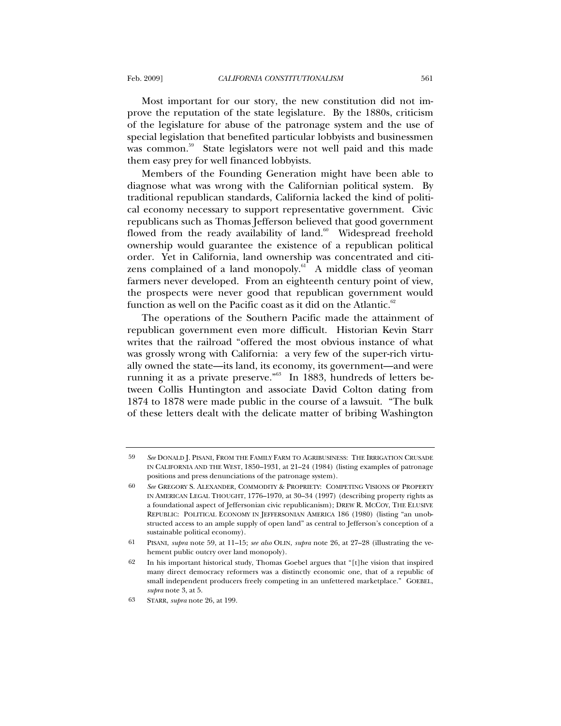Most important for our story, the new constitution did not improve the reputation of the state legislature. By the 1880s, criticism of the legislature for abuse of the patronage system and the use of special legislation that benefited particular lobbyists and businessmen was common.<sup>59</sup> State legislators were not well paid and this made them easy prey for well financed lobbyists.

Members of the Founding Generation might have been able to diagnose what was wrong with the Californian political system. By traditional republican standards, California lacked the kind of political economy necessary to support representative government. Civic republicans such as Thomas Jefferson believed that good government flowed from the ready availability of land.<sup>60</sup> Widespread freehold ownership would guarantee the existence of a republican political order. Yet in California, land ownership was concentrated and citizens complained of a land monopoly. $61$  A middle class of yeoman farmers never developed. From an eighteenth century point of view, the prospects were never good that republican government would function as well on the Pacific coast as it did on the Atlantic. $62$ 

The operations of the Southern Pacific made the attainment of republican government even more difficult. Historian Kevin Starr writes that the railroad "offered the most obvious instance of what was grossly wrong with California: a very few of the super-rich virtually owned the state—its land, its economy, its government—and were running it as a private preserve."<sup>63</sup> In 1883, hundreds of letters between Collis Huntington and associate David Colton dating from 1874 to 1878 were made public in the course of a lawsuit. "The bulk of these letters dealt with the delicate matter of bribing Washington

<sup>59</sup> *See* DONALD J. PISANI, FROM THE FAMILY FARM TO AGRIBUSINESS: THE IRRIGATION CRUSADE IN CALIFORNIA AND THE WEST, 1850–1931, at 21–24 (1984) (listing examples of patronage positions and press denunciations of the patronage system).

<sup>60</sup> *See* GREGORY S. ALEXANDER, COMMODITY & PROPRIETY: COMPETING VISIONS OF PROPERTY IN AMERICAN LEGAL THOUGHT, 1776–1970, at 30–34 (1997) (describing property rights as a foundational aspect of Jeffersonian civic republicanism); DREW R. MCCOY, THE ELUSIVE REPUBLIC: POLITICAL ECONOMY IN JEFFERSONIAN AMERICA 186 (1980) (listing "an unobstructed access to an ample supply of open land" as central to Jefferson's conception of a sustainable political economy).

<sup>61</sup> PISANI, *supra* note 59, at 11–15; *see also* OLIN, *supra* note 26, at 27–28 (illustrating the vehement public outcry over land monopoly).

<sup>62</sup> In his important historical study, Thomas Goebel argues that "[t]he vision that inspired many direct democracy reformers was a distinctly economic one, that of a republic of small independent producers freely competing in an unfettered marketplace." GOEBEL, *supra* note 3, at 5.

<sup>63</sup> STARR, *supra* note 26, at 199.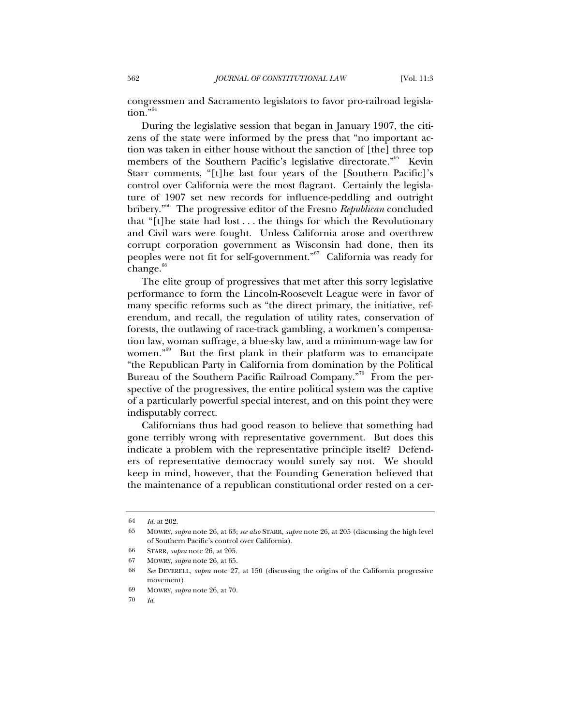congressmen and Sacramento legislators to favor pro-railroad legislation."<sup>64</sup>

During the legislative session that began in January 1907, the citizens of the state were informed by the press that "no important action was taken in either house without the sanction of [the] three top members of the Southern Pacific's legislative directorate."<sup>65</sup> Kevin Starr comments, "[t]he last four years of the [Southern Pacific]'s control over California were the most flagrant. Certainly the legislature of 1907 set new records for influence-peddling and outright bribery."66 The progressive editor of the Fresno *Republican* concluded that "[t]he state had lost . . . the things for which the Revolutionary and Civil wars were fought. Unless California arose and overthrew corrupt corporation government as Wisconsin had done, then its peoples were not fit for self-government."<sup>67</sup> California was ready for  $change.^{68}$ 

The elite group of progressives that met after this sorry legislative performance to form the Lincoln-Roosevelt League were in favor of many specific reforms such as "the direct primary, the initiative, referendum, and recall, the regulation of utility rates, conservation of forests, the outlawing of race-track gambling, a workmen's compensation law, woman suffrage, a blue-sky law, and a minimum-wage law for women."69 But the first plank in their platform was to emancipate "the Republican Party in California from domination by the Political Bureau of the Southern Pacific Railroad Company."<sup>70</sup> From the perspective of the progressives, the entire political system was the captive of a particularly powerful special interest, and on this point they were indisputably correct.

Californians thus had good reason to believe that something had gone terribly wrong with representative government. But does this indicate a problem with the representative principle itself? Defenders of representative democracy would surely say not. We should keep in mind, however, that the Founding Generation believed that the maintenance of a republican constitutional order rested on a cer-

<sup>64</sup> *Id.* at 202.

<sup>65</sup> MOWRY, *supra* note 26, at 63; *see also* STARR, *supra* note 26, at 205 (discussing the high level of Southern Pacific's control over California).

<sup>66</sup> STARR, *supra* note 26, at 205.

<sup>67</sup> MOWRY, *supra* note 26, at 65.

<sup>68</sup> *See* DEVERELL, *supra* note 27, at 150 (discussing the origins of the California progressive movement).

<sup>69</sup> MOWRY, *supra* note 26, at 70.

<sup>70</sup> *Id*.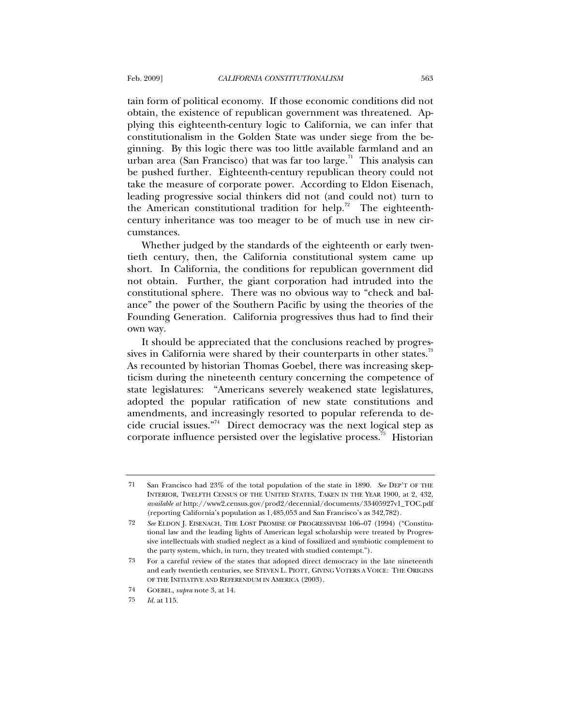tain form of political economy. If those economic conditions did not obtain, the existence of republican government was threatened. Applying this eighteenth-century logic to California, we can infer that constitutionalism in the Golden State was under siege from the beginning. By this logic there was too little available farmland and an urban area (San Francisco) that was far too large.<sup>71</sup> This analysis can be pushed further. Eighteenth-century republican theory could not take the measure of corporate power. According to Eldon Eisenach, leading progressive social thinkers did not (and could not) turn to the American constitutional tradition for help.<sup>72</sup> The eighteenthcentury inheritance was too meager to be of much use in new circumstances.

Whether judged by the standards of the eighteenth or early twentieth century, then, the California constitutional system came up short. In California, the conditions for republican government did not obtain. Further, the giant corporation had intruded into the constitutional sphere. There was no obvious way to "check and balance" the power of the Southern Pacific by using the theories of the Founding Generation. California progressives thus had to find their own way.

It should be appreciated that the conclusions reached by progressives in California were shared by their counterparts in other states. $73$ As recounted by historian Thomas Goebel, there was increasing skepticism during the nineteenth century concerning the competence of state legislatures: "Americans severely weakened state legislatures, adopted the popular ratification of new state constitutions and amendments, and increasingly resorted to popular referenda to decide crucial issues."74 Direct democracy was the next logical step as corporate influence persisted over the legislative process.<sup>75</sup> Historian

<sup>71</sup> San Francisco had 23% of the total population of the state in 1890. *See* DEP'T OF THE INTERIOR, TWELFTH CENSUS OF THE UNITED STATES, TAKEN IN THE YEAR 1900, at 2, 432, *available at* http://www2.census.gov/prod2/decennial/documents/33405927v1\_TOC.pdf (reporting California's population as 1,485,053 and San Francisco's as 342,782).

<sup>72</sup> *See* ELDON J. EISENACH, THE LOST PROMISE OF PROGRESSIVISM 106–07 (1994) ("Constitutional law and the leading lights of American legal scholarship were treated by Progressive intellectuals with studied neglect as a kind of fossilized and symbiotic complement to the party system, which, in turn, they treated with studied contempt.").

<sup>73</sup> For a careful review of the states that adopted direct democracy in the late nineteenth and early twentieth centuries, see STEVEN L. PIOTT, GIVING VOTERS A VOICE: THE ORIGINS OF THE INITIATIVE AND REFERENDUM IN AMERICA (2003).

<sup>74</sup> GOEBEL, *supra* note 3, at 14.

<sup>75</sup> *Id.* at 115.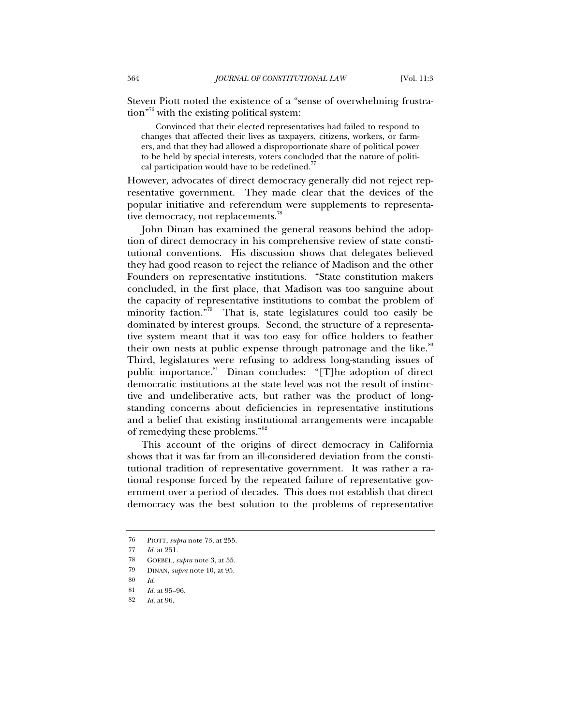Steven Piott noted the existence of a "sense of overwhelming frustration"76 with the existing political system:

Convinced that their elected representatives had failed to respond to changes that affected their lives as taxpayers, citizens, workers, or farmers, and that they had allowed a disproportionate share of political power to be held by special interests, voters concluded that the nature of political participation would have to be redefined.<sup>7</sup>

However, advocates of direct democracy generally did not reject representative government. They made clear that the devices of the popular initiative and referendum were supplements to representative democracy, not replacements.<sup>78</sup>

John Dinan has examined the general reasons behind the adoption of direct democracy in his comprehensive review of state constitutional conventions. His discussion shows that delegates believed they had good reason to reject the reliance of Madison and the other Founders on representative institutions. "State constitution makers concluded, in the first place, that Madison was too sanguine about the capacity of representative institutions to combat the problem of minority faction."<sup>79</sup> That is, state legislatures could too easily be dominated by interest groups. Second, the structure of a representative system meant that it was too easy for office holders to feather their own nests at public expense through patronage and the like.<sup>80</sup> Third, legislatures were refusing to address long-standing issues of public importance.<sup>81</sup> Dinan concludes: "[T]he adoption of direct democratic institutions at the state level was not the result of instinctive and undeliberative acts, but rather was the product of longstanding concerns about deficiencies in representative institutions and a belief that existing institutional arrangements were incapable of remedying these problems."<sup>82</sup>

This account of the origins of direct democracy in California shows that it was far from an ill-considered deviation from the constitutional tradition of representative government. It was rather a rational response forced by the repeated failure of representative government over a period of decades. This does not establish that direct democracy was the best solution to the problems of representative

<sup>76</sup> PIOTT, *supra* note 73, at 255.

<sup>77</sup> *Id.* at 251.

<sup>78</sup> GOEBEL, *supra* note 3, at 55.

<sup>79</sup> DINAN, *supra* note 10, at 95.

<sup>80</sup> *Id*.

<sup>81</sup> *Id.* at 95–96.

<sup>82</sup> *Id.* at 96.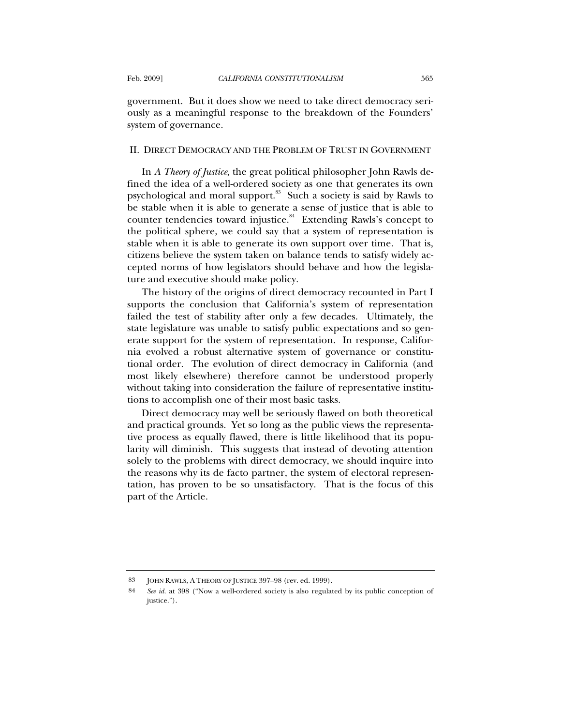government. But it does show we need to take direct democracy seriously as a meaningful response to the breakdown of the Founders' system of governance.

### II. DIRECT DEMOCRACY AND THE PROBLEM OF TRUST IN GOVERNMENT

In *A Theory of Justice*, the great political philosopher John Rawls defined the idea of a well-ordered society as one that generates its own psychological and moral support.<sup>83</sup> Such a society is said by Rawls to be stable when it is able to generate a sense of justice that is able to counter tendencies toward injustice. $84$  Extending Rawls's concept to the political sphere, we could say that a system of representation is stable when it is able to generate its own support over time. That is, citizens believe the system taken on balance tends to satisfy widely accepted norms of how legislators should behave and how the legislature and executive should make policy.

The history of the origins of direct democracy recounted in Part I supports the conclusion that California's system of representation failed the test of stability after only a few decades. Ultimately, the state legislature was unable to satisfy public expectations and so generate support for the system of representation. In response, California evolved a robust alternative system of governance or constitutional order. The evolution of direct democracy in California (and most likely elsewhere) therefore cannot be understood properly without taking into consideration the failure of representative institutions to accomplish one of their most basic tasks.

Direct democracy may well be seriously flawed on both theoretical and practical grounds. Yet so long as the public views the representative process as equally flawed, there is little likelihood that its popularity will diminish. This suggests that instead of devoting attention solely to the problems with direct democracy, we should inquire into the reasons why its de facto partner, the system of electoral representation, has proven to be so unsatisfactory. That is the focus of this part of the Article.

<sup>83</sup> JOHN RAWLS, A THEORY OF JUSTICE 397–98 (rev. ed. 1999).

<sup>84</sup> *See id.* at 398 ("Now a well-ordered society is also regulated by its public conception of justice.").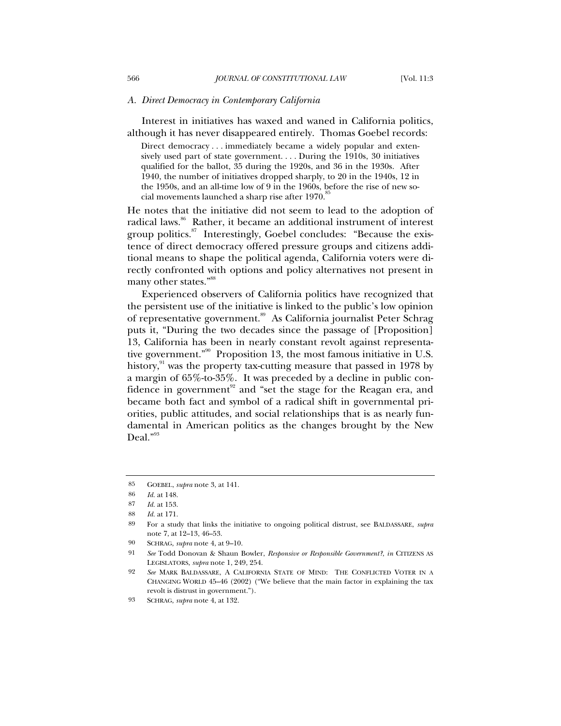#### *A. Direct Democracy in Contemporary California*

Interest in initiatives has waxed and waned in California politics, although it has never disappeared entirely. Thomas Goebel records:

Direct democracy . . . immediately became a widely popular and extensively used part of state government. . . . During the 1910s, 30 initiatives qualified for the ballot, 35 during the 1920s, and 36 in the 1930s. After 1940, the number of initiatives dropped sharply, to 20 in the 1940s, 12 in the 1950s, and an all-time low of 9 in the 1960s, before the rise of new social movements launched a sharp rise after 1970.<sup>85</sup>

He notes that the initiative did not seem to lead to the adoption of radical laws.<sup>86</sup> Rather, it became an additional instrument of interest group politics.<sup>87</sup> Interestingly, Goebel concludes: "Because the existence of direct democracy offered pressure groups and citizens additional means to shape the political agenda, California voters were directly confronted with options and policy alternatives not present in many other states."<sup>88</sup>

Experienced observers of California politics have recognized that the persistent use of the initiative is linked to the public's low opinion of representative government.<sup>89</sup> As California journalist Peter Schrag puts it, "During the two decades since the passage of [Proposition] 13, California has been in nearly constant revolt against representative government."<sup>90</sup> Proposition 13, the most famous initiative in U.S. history, $91$  was the property tax-cutting measure that passed in 1978 by a margin of 65%-to-35%. It was preceded by a decline in public confidence in government<sup>92</sup> and "set the stage for the Reagan era, and became both fact and symbol of a radical shift in governmental priorities, public attitudes, and social relationships that is as nearly fundamental in American politics as the changes brought by the New Deal."<sup>93</sup>

<sup>85</sup> GOEBEL, *supra* note 3, at 141.

<sup>86</sup> *Id.* at 148.

*Id.* at 153.

<sup>88</sup> *Id.* at 171.

<sup>89</sup> For a study that links the initiative to ongoing political distrust, see BALDASSARE, *supra* note 7, at 12–13, 46–53.

<sup>90</sup> SCHRAG, *supra* note 4, at 9–10.

<sup>91</sup> *See* Todd Donovan & Shaun Bowler, *Responsive or Responsible Government?*, *in* CITIZENS AS LEGISLATORS, *supra* note 1, 249, 254.

<sup>92</sup> *See* MARK BALDASSARE, A CALIFORNIA STATE OF MIND: THE CONFLICTED VOTER IN A CHANGING WORLD 45–46 (2002) ("We believe that the main factor in explaining the tax revolt is distrust in government.").

<sup>93</sup> SCHRAG, *supra* note 4, at 132.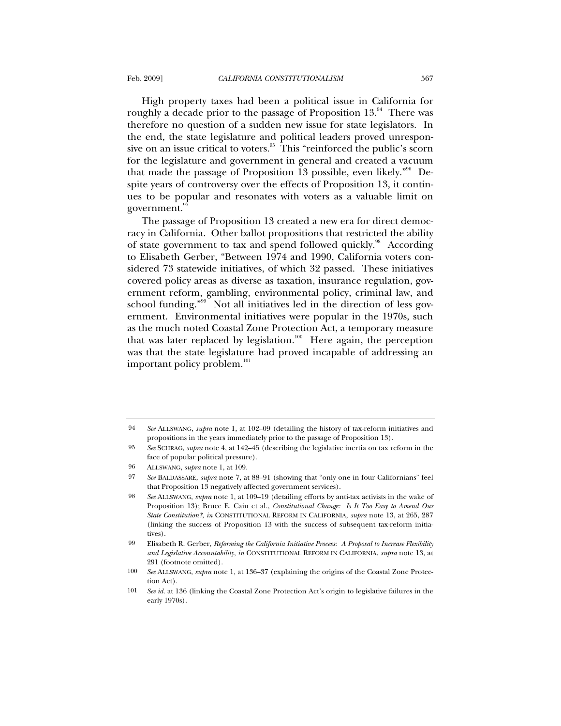High property taxes had been a political issue in California for roughly a decade prior to the passage of Proposition  $13.^{94}$  There was therefore no question of a sudden new issue for state legislators. In the end, the state legislature and political leaders proved unresponsive on an issue critical to voters.<sup>95</sup> This "reinforced the public's scorn for the legislature and government in general and created a vacuum that made the passage of Proposition 13 possible, even likely. $^{996}$  Despite years of controversy over the effects of Proposition 13, it continues to be popular and resonates with voters as a valuable limit on government.

The passage of Proposition 13 created a new era for direct democracy in California. Other ballot propositions that restricted the ability of state government to tax and spend followed quickly.<sup>98</sup> According to Elisabeth Gerber, "Between 1974 and 1990, California voters considered 73 statewide initiatives, of which 32 passed. These initiatives covered policy areas as diverse as taxation, insurance regulation, government reform, gambling, environmental policy, criminal law, and school funding."<sup>99</sup> Not all initiatives led in the direction of less government. Environmental initiatives were popular in the 1970s, such as the much noted Coastal Zone Protection Act, a temporary measure that was later replaced by legislation.<sup>100</sup> Here again, the perception was that the state legislature had proved incapable of addressing an important policy problem.<sup>101</sup>

<sup>94</sup> *See* ALLSWANG, *supra* note 1, at 102–09 (detailing the history of tax-reform initiatives and propositions in the years immediately prior to the passage of Proposition 13).

<sup>95</sup> *See* SCHRAG, *supra* note 4, at 142–45 (describing the legislative inertia on tax reform in the face of popular political pressure).

<sup>96</sup> ALLSWANG, *supra* note 1, at 109.

<sup>97</sup> *See* BALDASSARE, *supra* note 7, at 88–91 (showing that "only one in four Californians" feel that Proposition 13 negatively affected government services).

<sup>98</sup> *See* ALLSWANG, *supra* note 1, at 109–19 (detailing efforts by anti-tax activists in the wake of Proposition 13); Bruce E. Cain et al., *Constitutional Change: Is It Too Easy to Amend Our State Constitution?*, *in* CONSTITUTIONAL REFORM IN CALIFORNIA, *supra* note 13, at 265, 287 (linking the success of Proposition 13 with the success of subsequent tax-reform initiatives).

<sup>99</sup> Elisabeth R. Gerber, *Reforming the California Initiative Process: A Proposal to Increase Flexibility and Legislative Accountability*, *in* CONSTITUTIONAL REFORM IN CALIFORNIA, *supra* note 13, at 291 (footnote omitted).

<sup>100</sup> *See* ALLSWANG, *supra* note 1, at 136–37 (explaining the origins of the Coastal Zone Protection Act).

<sup>101</sup> *See id.* at 136 (linking the Coastal Zone Protection Act's origin to legislative failures in the early 1970s).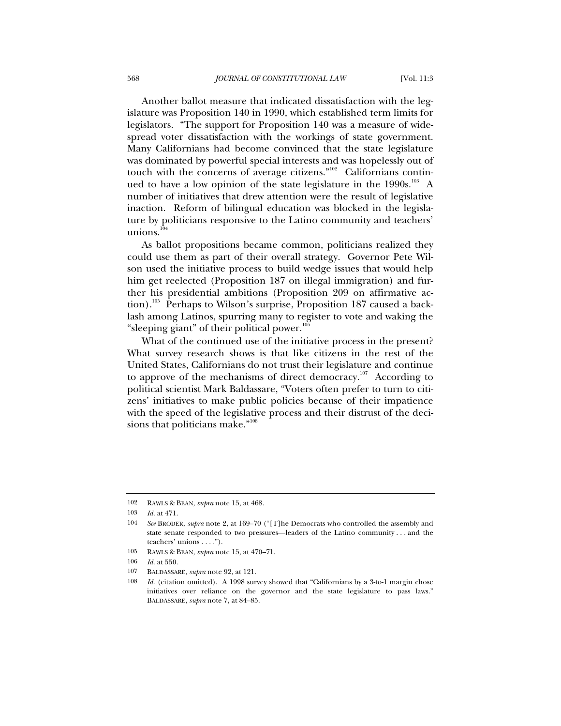Another ballot measure that indicated dissatisfaction with the legislature was Proposition 140 in 1990, which established term limits for legislators. "The support for Proposition 140 was a measure of widespread voter dissatisfaction with the workings of state government. Many Californians had become convinced that the state legislature was dominated by powerful special interests and was hopelessly out of touch with the concerns of average citizens." $102$  Californians continued to have a low opinion of the state legislature in the  $1990s$ .<sup>103</sup> A number of initiatives that drew attention were the result of legislative inaction. Reform of bilingual education was blocked in the legislature by politicians responsive to the Latino community and teachers' unions. $104$ 

As ballot propositions became common, politicians realized they could use them as part of their overall strategy. Governor Pete Wilson used the initiative process to build wedge issues that would help him get reelected (Proposition 187 on illegal immigration) and further his presidential ambitions (Proposition 209 on affirmative action).<sup>105</sup> Perhaps to Wilson's surprise, Proposition 187 caused a backlash among Latinos, spurring many to register to vote and waking the "sleeping giant" of their political power. $106$ 

What of the continued use of the initiative process in the present? What survey research shows is that like citizens in the rest of the United States, Californians do not trust their legislature and continue to approve of the mechanisms of direct democracy.<sup>107</sup> According to political scientist Mark Baldassare, "Voters often prefer to turn to citizens' initiatives to make public policies because of their impatience with the speed of the legislative process and their distrust of the decisions that politicians make."<sup>108</sup>

<sup>102</sup> RAWLS & BEAN, *supra* note 15, at 468.

<sup>103</sup> *Id.* at 471.

<sup>104</sup> *See* BRODER, *supra* note 2, at 169–70 ("[T]he Democrats who controlled the assembly and state senate responded to two pressures—leaders of the Latino community . . . and the teachers' unions . . . .").

<sup>105</sup> RAWLS & BEAN, *supra* note 15, at 470–71.

<sup>106</sup> *Id.* at 550.

<sup>107</sup> BALDASSARE, *supra* note 92, at 121.

<sup>108</sup> *Id.* (citation omitted). A 1998 survey showed that "Californians by a 3-to-1 margin chose initiatives over reliance on the governor and the state legislature to pass laws." BALDASSARE, *supra* note 7, at 84–85.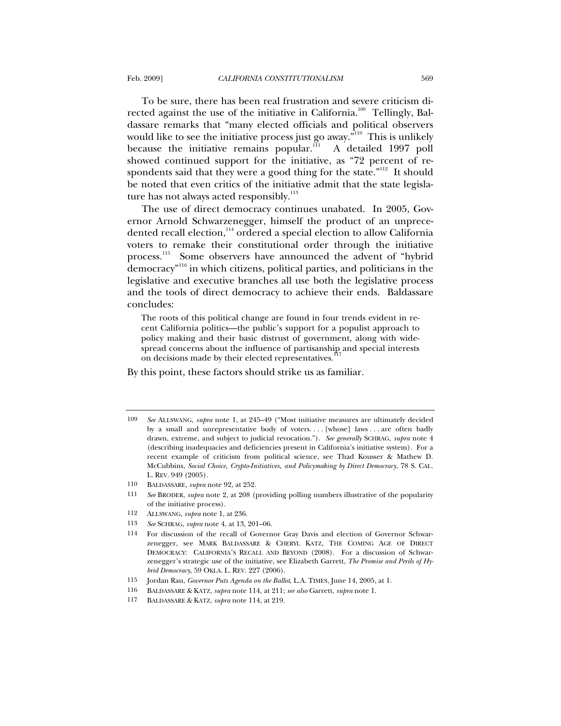To be sure, there has been real frustration and severe criticism directed against the use of the initiative in California.<sup>109</sup> Tellingly, Baldassare remarks that "many elected officials and political observers would like to see the initiative process just go away."<sup>110</sup> This is unlikely because the initiative remains popular. $\frac{111}{11}$  A detailed 1997 poll showed continued support for the initiative, as "72 percent of respondents said that they were a good thing for the state."<sup>112</sup> It should be noted that even critics of the initiative admit that the state legislature has not always acted responsibly. $113$ 

The use of direct democracy continues unabated. In 2005, Governor Arnold Schwarzenegger, himself the product of an unprecedented recall election,<sup>114</sup> ordered a special election to allow California voters to remake their constitutional order through the initiative process.<sup>115</sup> Some observers have announced the advent of "hybrid democracy"116 in which citizens, political parties, and politicians in the legislative and executive branches all use both the legislative process and the tools of direct democracy to achieve their ends. Baldassare concludes:

The roots of this political change are found in four trends evident in recent California politics—the public's support for a populist approach to policy making and their basic distrust of government, along with widespread concerns about the influence of partisanship and special interests on decisions made by their elected representatives.<sup>1</sup>

By this point, these factors should strike us as familiar.

- 110 BALDASSARE, *supra* note 92, at 252.
- 111 *See* BRODER, *supra* note 2, at 208 (providing polling numbers illustrative of the popularity of the initiative process).
- 112 ALLSWANG, *supra* note 1, at 236.
- 113 *See* SCHRAG, *supra* note 4, at 13, 201–06.
- 114 For discussion of the recall of Governor Gray Davis and election of Governor Schwarzenegger, see MARK BALDASSARE & CHERYL KATZ, THE COMING AGE OF DIRECT DEMOCRACY: CALIFORNIA'S RECALL AND BEYOND (2008). For a discussion of Schwarzenegger's strategic use of the initiative, see Elizabeth Garrett, *The Promise and Perils of Hybrid Democracy*, 59 OKLA. L. REV. 227 (2006).
- 115 Jordan Rau, *Governor Puts Agenda on the Ballot*, L.A. TIMES, June 14, 2005, at 1.
- 116 BALDASSARE & KATZ, *supra* note 114, at 211; *see also* Garrett, *supra* note 1.
- 117 BALDASSARE & KATZ, *supra* note 114, at 219.

<sup>109</sup> *See* ALLSWANG, *supra* note 1, at 245–49 ("Most initiative measures are ultimately decided by a small and unrepresentative body of voters. . . . [whose] laws . . . are often badly drawn, extreme, and subject to judicial revocation."). *See generally* SCHRAG, *supra* note 4 (describing inadequacies and deficiencies present in California's initiative system). For a recent example of criticism from political science, see Thad Kousser & Mathew D. McCubbins, *Social Choice, Crypto-Initiatives, and Policymaking by Direct Democracy*, 78 S. CAL. L. REV. 949 (2005).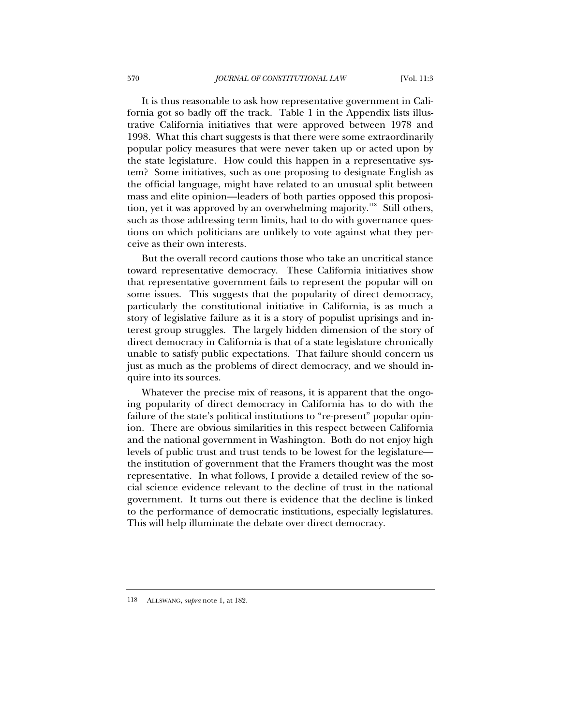It is thus reasonable to ask how representative government in California got so badly off the track. Table 1 in the Appendix lists illustrative California initiatives that were approved between 1978 and 1998. What this chart suggests is that there were some extraordinarily popular policy measures that were never taken up or acted upon by the state legislature. How could this happen in a representative system? Some initiatives, such as one proposing to designate English as the official language, might have related to an unusual split between mass and elite opinion—leaders of both parties opposed this proposition, yet it was approved by an overwhelming majority.<sup>118</sup> Still others, such as those addressing term limits, had to do with governance questions on which politicians are unlikely to vote against what they perceive as their own interests.

But the overall record cautions those who take an uncritical stance toward representative democracy. These California initiatives show that representative government fails to represent the popular will on some issues. This suggests that the popularity of direct democracy, particularly the constitutional initiative in California, is as much a story of legislative failure as it is a story of populist uprisings and interest group struggles. The largely hidden dimension of the story of direct democracy in California is that of a state legislature chronically unable to satisfy public expectations. That failure should concern us just as much as the problems of direct democracy, and we should inquire into its sources.

Whatever the precise mix of reasons, it is apparent that the ongoing popularity of direct democracy in California has to do with the failure of the state's political institutions to "re-present" popular opinion. There are obvious similarities in this respect between California and the national government in Washington. Both do not enjoy high levels of public trust and trust tends to be lowest for the legislature the institution of government that the Framers thought was the most representative. In what follows, I provide a detailed review of the social science evidence relevant to the decline of trust in the national government. It turns out there is evidence that the decline is linked to the performance of democratic institutions, especially legislatures. This will help illuminate the debate over direct democracy.

118 ALLSWANG, *supra* note 1, at 182.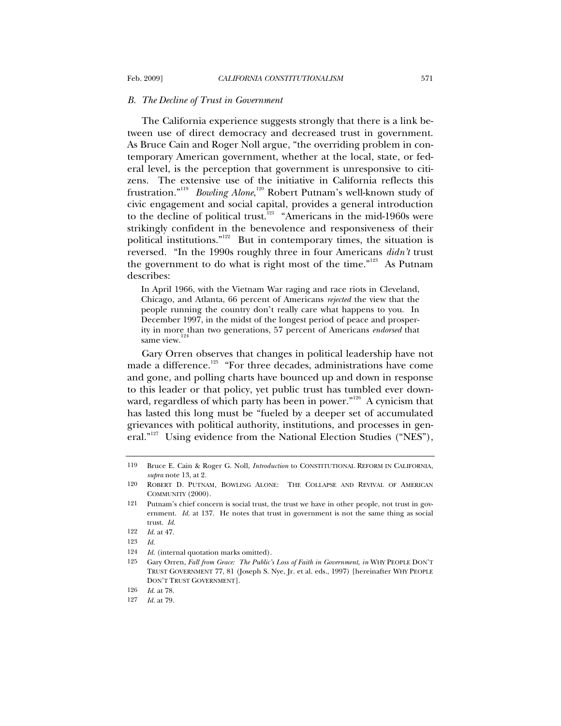#### *B. The Decline of Trust in Government*

The California experience suggests strongly that there is a link between use of direct democracy and decreased trust in government. As Bruce Cain and Roger Noll argue, "the overriding problem in contemporary American government, whether at the local, state, or federal level, is the perception that government is unresponsive to citizens. The extensive use of the initiative in California reflects this frustration."<sup>119</sup> *Bowling Alone*, 120 Robert Putnam's well-known study of civic engagement and social capital, provides a general introduction to the decline of political trust.<sup>121</sup> "Americans in the mid-1960s were strikingly confident in the benevolence and responsiveness of their political institutions."122 But in contemporary times, the situation is reversed. "In the 1990s roughly three in four Americans *didn't* trust the government to do what is right most of the time."<sup>123</sup> As Putnam describes:

In April 1966, with the Vietnam War raging and race riots in Cleveland, Chicago, and Atlanta, 66 percent of Americans *rejected* the view that the people running the country don't really care what happens to you. In December 1997, in the midst of the longest period of peace and prosperity in more than two generations, 57 percent of Americans *endorsed* that same view.

Gary Orren observes that changes in political leadership have not made a difference.<sup>125</sup> "For three decades, administrations have come and gone, and polling charts have bounced up and down in response to this leader or that policy, yet public trust has tumbled ever downward, regardless of which party has been in power."<sup>126</sup> A cynicism that has lasted this long must be "fueled by a deeper set of accumulated grievances with political authority, institutions, and processes in general."<sup>127</sup> Using evidence from the National Election Studies ("NES"),

<sup>119</sup> Bruce E. Cain & Roger G. Noll, *Introduction* to CONSTITUTIONAL REFORM IN CALIFORNIA, *supra* note 13, at 2.

<sup>120</sup> ROBERT D. PUTNAM, BOWLING ALONE: THE COLLAPSE AND REVIVAL OF AMERICAN COMMUNITY (2000).

<sup>121</sup> Putnam's chief concern is social trust, the trust we have in other people, not trust in government. *Id.* at 137. He notes that trust in government is not the same thing as social trust. *Id.*

<sup>122</sup> *Id.* at 47.

<sup>123</sup> *Id.*

<sup>124</sup> *Id.* (internal quotation marks omitted).

<sup>125</sup> Gary Orren, *Fall from Grace: The Public's Loss of Faith in Government*, *in* WHY PEOPLE DON'T TRUST GOVERNMENT 77, 81 (Joseph S. Nye, Jr. et al. eds., 1997) [hereinafter WHY PEOPLE DON'T TRUST GOVERNMENT].

<sup>126</sup> *Id.* at 78.

<sup>127</sup> *Id.* at 79.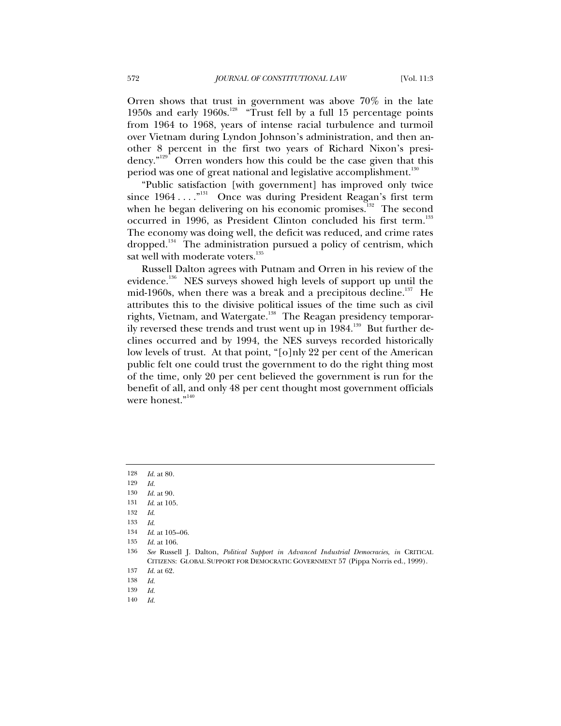Orren shows that trust in government was above 70% in the late 1950s and early 1960s.<sup>128</sup> "Trust fell by a full 15 percentage points" from 1964 to 1968, years of intense racial turbulence and turmoil over Vietnam during Lyndon Johnson's administration, and then another 8 percent in the first two years of Richard Nixon's presidency."<sup>129</sup> Orren wonders how this could be the case given that this period was one of great national and legislative accomplishment.<sup>130</sup>

"Public satisfaction [with government] has improved only twice since  $1964 \ldots$ ."<sup>131</sup> Once was during President Reagan's first term when he began delivering on his economic promises.<sup>132</sup> The second occurred in 1996, as President Clinton concluded his first term.<sup>133</sup> The economy was doing well, the deficit was reduced, and crime rates dropped.<sup>134</sup> The administration pursued a policy of centrism, which sat well with moderate voters.<sup>135</sup>

Russell Dalton agrees with Putnam and Orren in his review of the evidence.<sup>356</sup> NES surveys showed high levels of support up until the mid-1960s, when there was a break and a precipitous decline.<sup>137</sup> He attributes this to the divisive political issues of the time such as civil rights, Vietnam, and Watergate.<sup>138</sup> The Reagan presidency temporarily reversed these trends and trust went up in 1984.<sup>139</sup> But further declines occurred and by 1994, the NES surveys recorded historically low levels of trust. At that point, "[o]nly 22 per cent of the American public felt one could trust the government to do the right thing most of the time, only 20 per cent believed the government is run for the benefit of all, and only 48 per cent thought most government officials were honest."<sup>140</sup>

140 *Id.*

<sup>128</sup> *Id.* at 80.

<sup>129</sup> *Id.*

<sup>130</sup> *Id.* at 90.

<sup>131</sup> *Id*. at 105.

<sup>132</sup> *Id*.

<sup>133</sup> *Id*.

<sup>134</sup> *Id*. at 105–06.

<sup>135</sup> *Id.* at 106.

<sup>136</sup> *See* Russell J. Dalton, *Political Support in Advanced Industrial Democracies*, *in* CRITICAL CITIZENS: GLOBAL SUPPORT FOR DEMOCRATIC GOVERNMENT 57 (Pippa Norris ed., 1999).

<sup>137</sup> *Id.* at 62.

<sup>138</sup> *Id.*

<sup>139</sup> *Id.*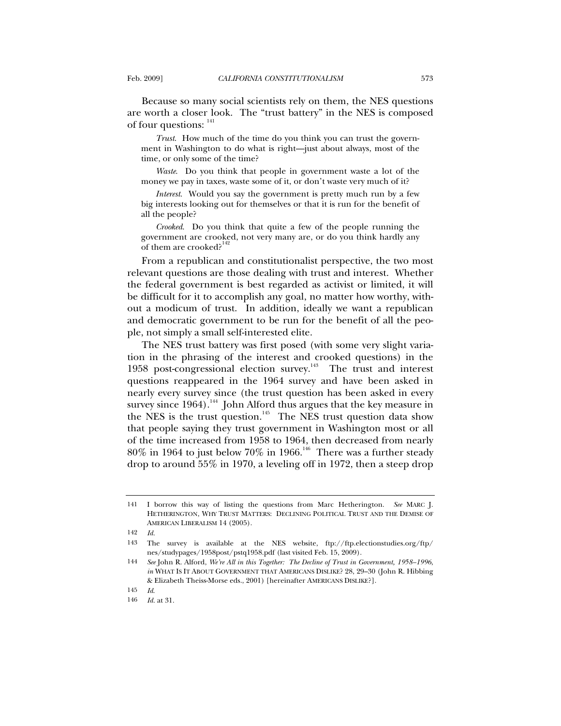Because so many social scientists rely on them, the NES questions are worth a closer look. The "trust battery" in the NES is composed of four questions:  $141$ 

*Trust*. How much of the time do you think you can trust the government in Washington to do what is right—just about always, most of the time, or only some of the time?

*Waste*. Do you think that people in government waste a lot of the money we pay in taxes, waste some of it, or don't waste very much of it?

*Interest*. Would you say the government is pretty much run by a few big interests looking out for themselves or that it is run for the benefit of all the people?

*Crooked*. Do you think that quite a few of the people running the government are crooked, not very many are, or do you think hardly any of them are crooked?<sup>1</sup>

From a republican and constitutionalist perspective, the two most relevant questions are those dealing with trust and interest. Whether the federal government is best regarded as activist or limited, it will be difficult for it to accomplish any goal, no matter how worthy, without a modicum of trust. In addition, ideally we want a republican and democratic government to be run for the benefit of all the people, not simply a small self-interested elite.

The NES trust battery was first posed (with some very slight variation in the phrasing of the interest and crooked questions) in the 1958 post-congressional election survey.<sup>143</sup> The trust and interest questions reappeared in the 1964 survey and have been asked in nearly every survey since (the trust question has been asked in every survey since  $1964$ ).<sup>144</sup> John Alford thus argues that the key measure in the NES is the trust question.<sup>145</sup> The NES trust question data show that people saying they trust government in Washington most or all of the time increased from 1958 to 1964, then decreased from nearly  $80\%$  in 1964 to just below  $70\%$  in 1966.<sup>146</sup> There was a further steady drop to around 55% in 1970, a leveling off in 1972, then a steep drop

<sup>141</sup> I borrow this way of listing the questions from Marc Hetherington. *See* MARC J. HETHERINGTON, WHY TRUST MATTERS: DECLINING POLITICAL TRUST AND THE DEMISE OF AMERICAN LIBERALISM 14 (2005).

<sup>142</sup> *Id.*

<sup>143</sup> The survey is available at the NES website, ftp://ftp.electionstudies.org/ftp/ nes/studypages/1958post/pstq1958.pdf (last visited Feb. 15, 2009).

<sup>144</sup> *See* John R. Alford, *We're All in this Together: The Decline of Trust in Government, 1958–1996*, *in* WHAT IS IT ABOUT GOVERNMENT THAT AMERICANS DISLIKE? 28, 29–30 (John R. Hibbing & Elizabeth Theiss-Morse eds., 2001) [hereinafter AMERICANS DISLIKE?].

<sup>145</sup> *Id*.

<sup>146</sup> *Id.* at 31.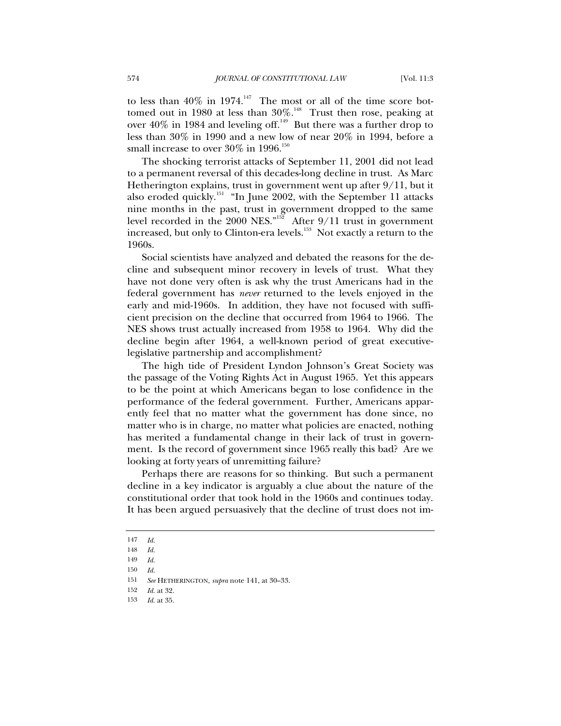to less than  $40\%$  in 1974.<sup>147</sup> The most or all of the time score bottomed out in 1980 at less than  $30\%$ .<sup>148</sup> Trust then rose, peaking at over 40% in 1984 and leveling off.<sup>149</sup> But there was a further drop to less than 30% in 1990 and a new low of near 20% in 1994, before a small increase to over  $30\%$  in 1996.<sup>150</sup>

The shocking terrorist attacks of September 11, 2001 did not lead to a permanent reversal of this decades-long decline in trust. As Marc Hetherington explains, trust in government went up after 9/11, but it also eroded quickly.<sup>151</sup> "In June 2002, with the September 11 attacks nine months in the past, trust in government dropped to the same level recorded in the 2000 NES."<sup>152</sup> After  $9/11$  trust in government increased, but only to Clinton-era levels.<sup>153</sup> Not exactly a return to the 1960s.

Social scientists have analyzed and debated the reasons for the decline and subsequent minor recovery in levels of trust. What they have not done very often is ask why the trust Americans had in the federal government has *never* returned to the levels enjoyed in the early and mid-1960s. In addition, they have not focused with sufficient precision on the decline that occurred from 1964 to 1966. The NES shows trust actually increased from 1958 to 1964. Why did the decline begin after 1964, a well-known period of great executivelegislative partnership and accomplishment?

The high tide of President Lyndon Johnson's Great Society was the passage of the Voting Rights Act in August 1965. Yet this appears to be the point at which Americans began to lose confidence in the performance of the federal government. Further, Americans apparently feel that no matter what the government has done since, no matter who is in charge, no matter what policies are enacted, nothing has merited a fundamental change in their lack of trust in government. Is the record of government since 1965 really this bad? Are we looking at forty years of unremitting failure?

Perhaps there are reasons for so thinking. But such a permanent decline in a key indicator is arguably a clue about the nature of the constitutional order that took hold in the 1960s and continues today. It has been argued persuasively that the decline of trust does not im-

<sup>147</sup> *Id.*

<sup>148</sup> *Id.*

<sup>149</sup> *Id.*

<sup>150</sup> *Id.*

<sup>151</sup> *See* HETHERINGTON, *supra* note 141, at 30–33.

<sup>152</sup> *Id.* at 32.

<sup>153</sup> *Id.* at 35.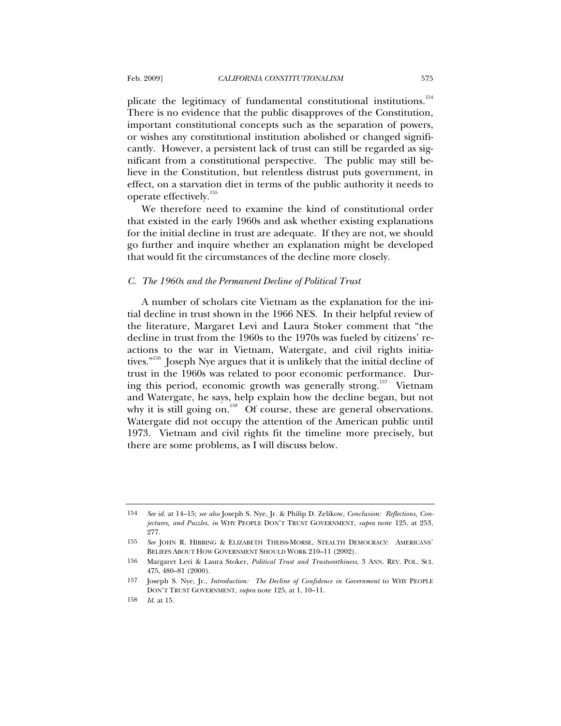plicate the legitimacy of fundamental constitutional institutions.<sup>154</sup> There is no evidence that the public disapproves of the Constitution, important constitutional concepts such as the separation of powers, or wishes any constitutional institution abolished or changed significantly. However, a persistent lack of trust can still be regarded as significant from a constitutional perspective. The public may still believe in the Constitution, but relentless distrust puts government, in effect, on a starvation diet in terms of the public authority it needs to operate effectively.<sup>155</sup>

We therefore need to examine the kind of constitutional order that existed in the early 1960s and ask whether existing explanations for the initial decline in trust are adequate. If they are not, we should go further and inquire whether an explanation might be developed that would fit the circumstances of the decline more closely.

#### *C. The 1960s and the Permanent Decline of Political Trust*

A number of scholars cite Vietnam as the explanation for the initial decline in trust shown in the 1966 NES. In their helpful review of the literature, Margaret Levi and Laura Stoker comment that "the decline in trust from the 1960s to the 1970s was fueled by citizens' reactions to the war in Vietnam, Watergate, and civil rights initiatives."<sup>156</sup> Joseph Nye argues that it is unlikely that the initial decline of trust in the 1960s was related to poor economic performance. During this period, economic growth was generally strong.<sup>157</sup> Vietnam and Watergate, he says, help explain how the decline began, but not why it is still going on.<sup>158</sup> Of course, these are general observations. Watergate did not occupy the attention of the American public until 1973. Vietnam and civil rights fit the timeline more precisely, but there are some problems, as I will discuss below.

<sup>154</sup> *See id.* at 14–15; *see also* Joseph S. Nye, Jr. & Philip D. Zelikow, *Conclusion: Reflections, Conjectures, and Puzzles*, *in* WHY PEOPLE DON'T TRUST GOVERNMENT, *supra* note 125, at 253, 277.

<sup>155</sup> *See* JOHN R. HIBBING & ELIZABETH THEISS-MORSE, STEALTH DEMOCRACY: AMERICANS' BELIEFS ABOUT HOW GOVERNMENT SHOULD WORK 210-11 (2002).

<sup>156</sup> Margaret Levi & Laura Stoker, *Political Trust and Trustworthiness*, 3 ANN. REV. POL. SCI. 475, 480–81 (2000).

<sup>157</sup> Joseph S. Nye, Jr., *Introduction: The Decline of Confidence in Government* to WHY PEOPLE DON'T TRUST GOVERNMENT, *supra* note 125, at 1, 10–11.

<sup>158</sup> *Id.* at 15.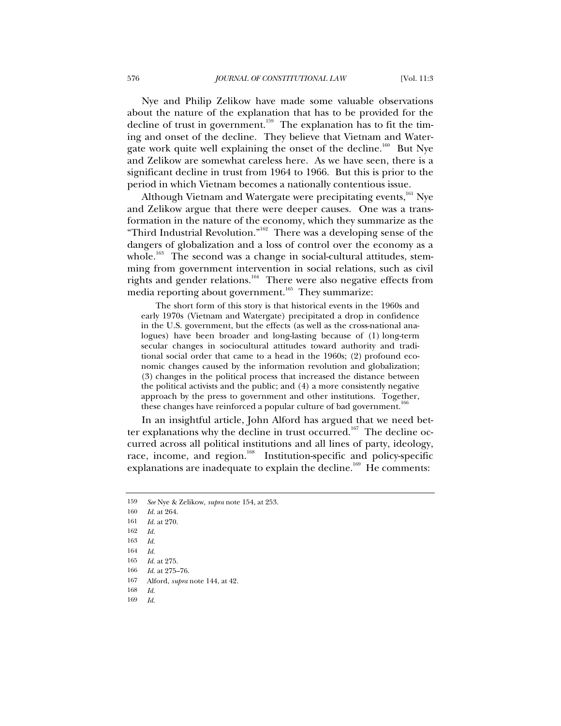Nye and Philip Zelikow have made some valuable observations about the nature of the explanation that has to be provided for the decline of trust in government.<sup>159</sup> The explanation has to fit the timing and onset of the decline. They believe that Vietnam and Watergate work quite well explaining the onset of the decline.<sup>160</sup> But Nye and Zelikow are somewhat careless here. As we have seen, there is a significant decline in trust from 1964 to 1966. But this is prior to the period in which Vietnam becomes a nationally contentious issue.

Although Vietnam and Watergate were precipitating events,<sup>161</sup> Nye and Zelikow argue that there were deeper causes. One was a transformation in the nature of the economy, which they summarize as the "Third Industrial Revolution."162 There was a developing sense of the dangers of globalization and a loss of control over the economy as a whole.<sup>163</sup> The second was a change in social-cultural attitudes, stemming from government intervention in social relations, such as civil rights and gender relations.<sup>164</sup> There were also negative effects from media reporting about government.<sup>165</sup> They summarize:

The short form of this story is that historical events in the 1960s and early 1970s (Vietnam and Watergate) precipitated a drop in confidence in the U.S. government, but the effects (as well as the cross-national analogues) have been broader and long-lasting because of (1) long-term secular changes in sociocultural attitudes toward authority and traditional social order that came to a head in the 1960s; (2) profound economic changes caused by the information revolution and globalization; (3) changes in the political process that increased the distance between the political activists and the public; and (4) a more consistently negative approach by the press to government and other institutions. Together, these changes have reinforced a popular culture of bad government.<sup>1</sup>

In an insightful article, John Alford has argued that we need better explanations why the decline in trust occurred.<sup>167</sup> The decline occurred across all political institutions and all lines of party, ideology, race, income, and region.<sup>168</sup> Institution-specific and policy-specific explanations are inadequate to explain the decline.<sup>169</sup> He comments:

169 *Id.*

<sup>159</sup> *See* Nye & Zelikow, *supra* note 154, at 253.

<sup>160</sup> *Id.* at 264.

<sup>161</sup> *Id.* at 270.

<sup>162</sup> *Id.*

<sup>163</sup> *Id.*

<sup>164</sup> *Id.*

<sup>165</sup> *Id.* at 275.

<sup>166</sup> *Id.* at 275–76.

<sup>167</sup> Alford, *supra* note 144, at 42.

<sup>168</sup> *Id.*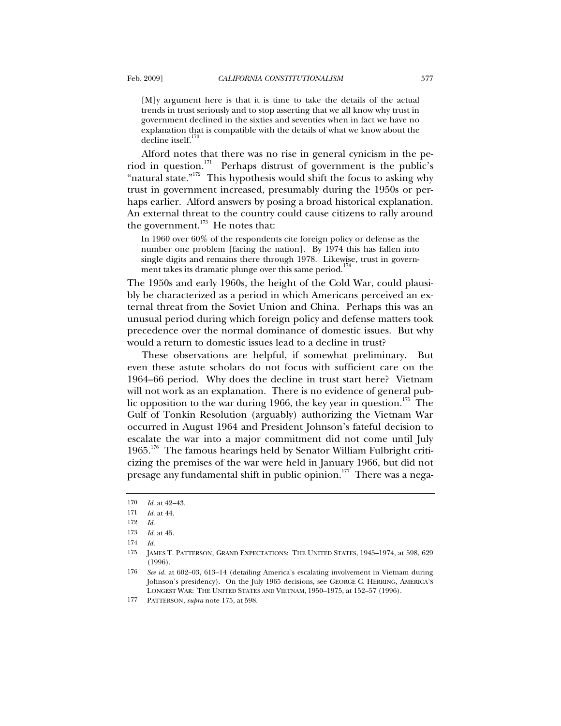[M]y argument here is that it is time to take the details of the actual trends in trust seriously and to stop asserting that we all know why trust in government declined in the sixties and seventies when in fact we have no explanation that is compatible with the details of what we know about the decline itself.<sup>170</sup>

Alford notes that there was no rise in general cynicism in the period in question.<sup>171</sup> Perhaps distrust of government is the public's "natural state."<sup>172</sup> This hypothesis would shift the focus to asking why trust in government increased, presumably during the 1950s or perhaps earlier. Alford answers by posing a broad historical explanation. An external threat to the country could cause citizens to rally around the government. $173$  He notes that:

In 1960 over 60% of the respondents cite foreign policy or defense as the number one problem [facing the nation]. By 1974 this has fallen into single digits and remains there through 1978. Likewise, trust in government takes its dramatic plunge over this same period.<sup>1</sup>

The 1950s and early 1960s, the height of the Cold War, could plausibly be characterized as a period in which Americans perceived an external threat from the Soviet Union and China. Perhaps this was an unusual period during which foreign policy and defense matters took precedence over the normal dominance of domestic issues. But why would a return to domestic issues lead to a decline in trust?

These observations are helpful, if somewhat preliminary. But even these astute scholars do not focus with sufficient care on the 1964–66 period. Why does the decline in trust start here? Vietnam will not work as an explanation. There is no evidence of general public opposition to the war during 1966, the key year in question.<sup>175</sup> The Gulf of Tonkin Resolution (arguably) authorizing the Vietnam War occurred in August 1964 and President Johnson's fateful decision to escalate the war into a major commitment did not come until July 1965.176 The famous hearings held by Senator William Fulbright criticizing the premises of the war were held in January 1966, but did not presage any fundamental shift in public opinion.<sup>177</sup> There was a nega-

<sup>170</sup> *Id.* at 42–43.

<sup>171</sup> *Id.* at 44.

<sup>172</sup> *Id.*

<sup>173</sup> *Id.* at 45.

<sup>174</sup> *Id.*

<sup>175</sup> JAMES T. PATTERSON, GRAND EXPECTATIONS: THE UNITED STATES, 1945–1974, at 598, 629 (1996).

<sup>176</sup> *See id.* at 602–03, 613–14 (detailing America's escalating involvement in Vietnam during Johnson's presidency). On the July 1965 decisions, see GEORGE C. HERRING, AMERICA'S LONGEST WAR: THE UNITED STATES AND VIETNAM, 1950–1975, at 152–57 (1996).

<sup>177</sup> PATTERSON, *supra* note 175, at 598.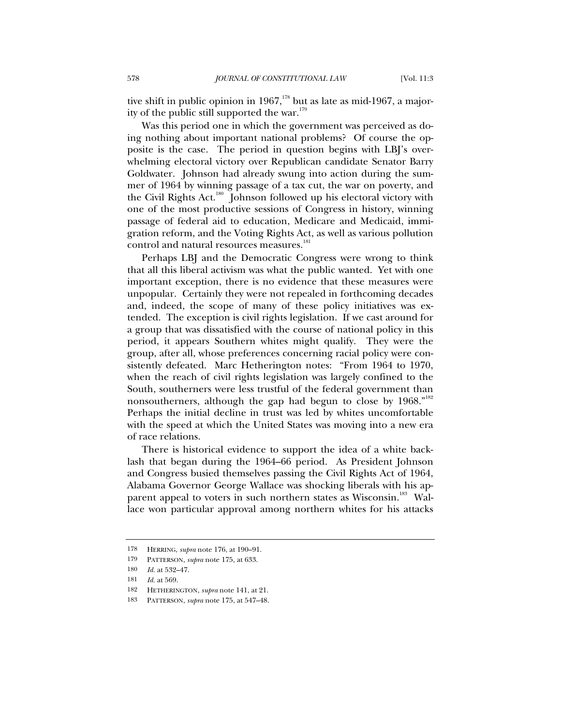tive shift in public opinion in 1967, $178$  but as late as mid-1967, a majority of the public still supported the war.<sup>17</sup>

Was this period one in which the government was perceived as doing nothing about important national problems? Of course the opposite is the case. The period in question begins with LBJ's overwhelming electoral victory over Republican candidate Senator Barry Goldwater. Johnson had already swung into action during the summer of 1964 by winning passage of a tax cut, the war on poverty, and the Civil Rights Act.<sup>180</sup> Johnson followed up his electoral victory with one of the most productive sessions of Congress in history, winning passage of federal aid to education, Medicare and Medicaid, immigration reform, and the Voting Rights Act, as well as various pollution control and natural resources measures.<sup>181</sup>

Perhaps LBJ and the Democratic Congress were wrong to think that all this liberal activism was what the public wanted. Yet with one important exception, there is no evidence that these measures were unpopular. Certainly they were not repealed in forthcoming decades and, indeed, the scope of many of these policy initiatives was extended. The exception is civil rights legislation. If we cast around for a group that was dissatisfied with the course of national policy in this period, it appears Southern whites might qualify. They were the group, after all, whose preferences concerning racial policy were consistently defeated. Marc Hetherington notes: "From 1964 to 1970, when the reach of civil rights legislation was largely confined to the South, southerners were less trustful of the federal government than nonsoutherners, although the gap had begun to close by 1968."<sup>182</sup> Perhaps the initial decline in trust was led by whites uncomfortable with the speed at which the United States was moving into a new era of race relations.

There is historical evidence to support the idea of a white backlash that began during the 1964–66 period. As President Johnson and Congress busied themselves passing the Civil Rights Act of 1964, Alabama Governor George Wallace was shocking liberals with his apparent appeal to voters in such northern states as Wisconsin.<sup>183</sup> Wallace won particular approval among northern whites for his attacks

<sup>178</sup> HERRING, *supra* note 176, at 190–91.

<sup>179</sup> PATTERSON, *supra* note 175, at 633.

<sup>180</sup> *Id.* at 532–47.

<sup>181</sup> *Id.* at 569.

<sup>182</sup> HETHERINGTON, *supra* note 141, at 21.

<sup>183</sup> PATTERSON, *supra* note 175, at 547–48.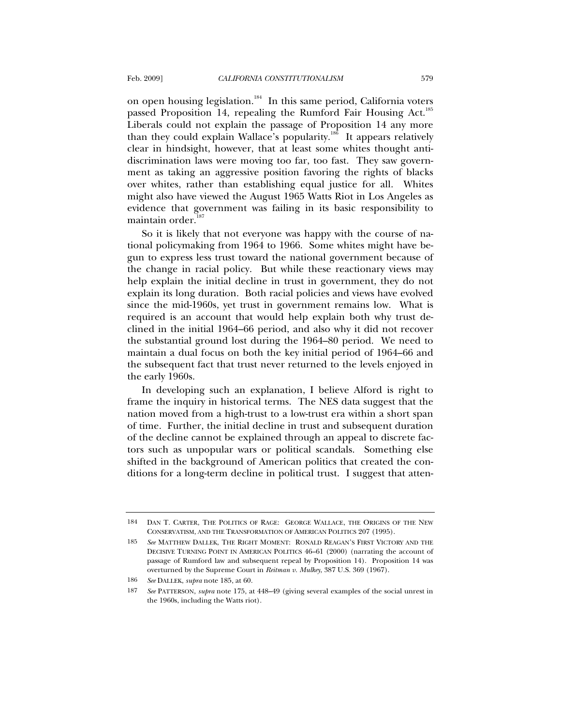on open housing legislation.<sup>184</sup> In this same period, California voters passed Proposition 14, repealing the Rumford Fair Housing Act.<sup>185</sup> Liberals could not explain the passage of Proposition 14 any more than they could explain Wallace's popularity.<sup>186</sup> It appears relatively clear in hindsight, however, that at least some whites thought antidiscrimination laws were moving too far, too fast. They saw government as taking an aggressive position favoring the rights of blacks over whites, rather than establishing equal justice for all. Whites might also have viewed the August 1965 Watts Riot in Los Angeles as evidence that government was failing in its basic responsibility to maintain order.

So it is likely that not everyone was happy with the course of national policymaking from 1964 to 1966. Some whites might have begun to express less trust toward the national government because of the change in racial policy. But while these reactionary views may help explain the initial decline in trust in government, they do not explain its long duration. Both racial policies and views have evolved since the mid-1960s, yet trust in government remains low. What is required is an account that would help explain both why trust declined in the initial 1964–66 period, and also why it did not recover the substantial ground lost during the 1964–80 period. We need to maintain a dual focus on both the key initial period of 1964–66 and the subsequent fact that trust never returned to the levels enjoyed in the early 1960s.

In developing such an explanation, I believe Alford is right to frame the inquiry in historical terms. The NES data suggest that the nation moved from a high-trust to a low-trust era within a short span of time. Further, the initial decline in trust and subsequent duration of the decline cannot be explained through an appeal to discrete factors such as unpopular wars or political scandals. Something else shifted in the background of American politics that created the conditions for a long-term decline in political trust. I suggest that atten-

<sup>184</sup> DAN T. CARTER, THE POLITICS OF RAGE: GEORGE WALLACE, THE ORIGINS OF THE NEW CONSERVATISM, AND THE TRANSFORMATION OF AMERICAN POLITICS 207 (1995).

<sup>185</sup> *See* MATTHEW DALLEK, THE RIGHT MOMENT: RONALD REAGAN'S FIRST VICTORY AND THE DECISIVE TURNING POINT IN AMERICAN POLITICS 46–61 (2000) (narrating the account of passage of Rumford law and subsequent repeal by Proposition 14). Proposition 14 was overturned by the Supreme Court in *Reitman v. Mulkey*, 387 U.S. 369 (1967).

<sup>186</sup> *See* DALLEK, *supra* note 185, at 60.

<sup>187</sup> *See* PATTERSON, *supra* note 175, at 448–49 (giving several examples of the social unrest in the 1960s, including the Watts riot).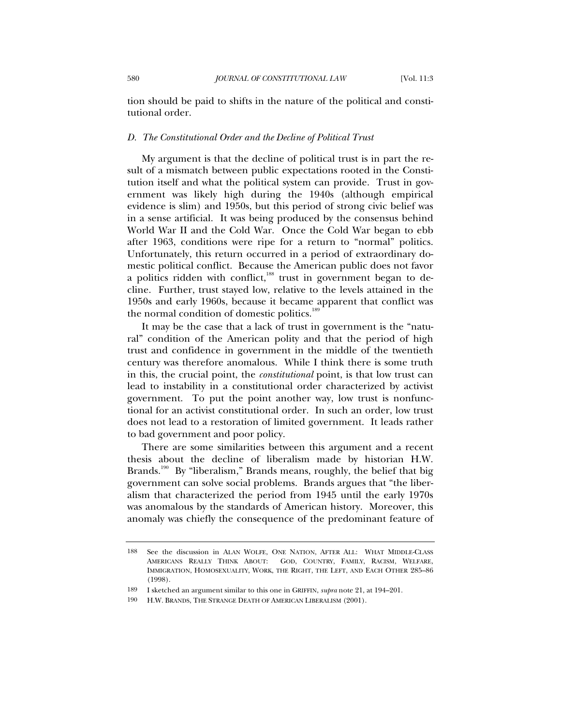tion should be paid to shifts in the nature of the political and constitutional order.

#### *D. The Constitutional Order and the Decline of Political Trust*

My argument is that the decline of political trust is in part the result of a mismatch between public expectations rooted in the Constitution itself and what the political system can provide. Trust in government was likely high during the 1940s (although empirical evidence is slim) and 1950s, but this period of strong civic belief was in a sense artificial. It was being produced by the consensus behind World War II and the Cold War. Once the Cold War began to ebb after 1963, conditions were ripe for a return to "normal" politics. Unfortunately, this return occurred in a period of extraordinary domestic political conflict. Because the American public does not favor a politics ridden with conflict, $188$  trust in government began to decline. Further, trust stayed low, relative to the levels attained in the 1950s and early 1960s, because it became apparent that conflict was the normal condition of domestic politics.<sup>189</sup>

It may be the case that a lack of trust in government is the "natural" condition of the American polity and that the period of high trust and confidence in government in the middle of the twentieth century was therefore anomalous. While I think there is some truth in this, the crucial point, the *constitutional* point, is that low trust can lead to instability in a constitutional order characterized by activist government. To put the point another way, low trust is nonfunctional for an activist constitutional order. In such an order, low trust does not lead to a restoration of limited government. It leads rather to bad government and poor policy.

There are some similarities between this argument and a recent thesis about the decline of liberalism made by historian H.W. Brands.<sup>190</sup> By "liberalism," Brands means, roughly, the belief that big government can solve social problems. Brands argues that "the liberalism that characterized the period from 1945 until the early 1970s was anomalous by the standards of American history. Moreover, this anomaly was chiefly the consequence of the predominant feature of

<sup>188</sup> See the discussion in ALAN WOLFE, ONE NATION, AFTER ALL: WHAT MIDDLE-CLASS AMERICANS REALLY THINK ABOUT: GOD, COUNTRY, FAMILY, RACISM, WELFARE, IMMIGRATION, HOMOSEXUALITY, WORK, THE RIGHT, THE LEFT, AND EACH OTHER 285–86 (1998).

<sup>189</sup> I sketched an argument similar to this one in GRIFFIN, *supra* note 21, at 194–201.

<sup>190</sup> H.W. BRANDS, THE STRANGE DEATH OF AMERICAN LIBERALISM (2001).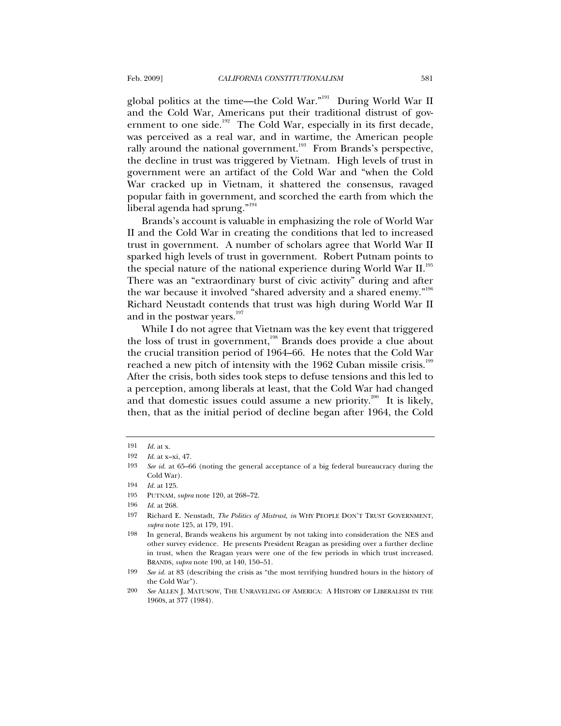global politics at the time—the Cold War."191 During World War II and the Cold War, Americans put their traditional distrust of government to one side.<sup>192</sup> The Cold War, especially in its first decade, was perceived as a real war, and in wartime, the American people rally around the national government.<sup>193</sup> From Brands's perspective, the decline in trust was triggered by Vietnam. High levels of trust in government were an artifact of the Cold War and "when the Cold War cracked up in Vietnam, it shattered the consensus, ravaged popular faith in government, and scorched the earth from which the liberal agenda had sprung."<sup>194</sup>

Brands's account is valuable in emphasizing the role of World War II and the Cold War in creating the conditions that led to increased trust in government. A number of scholars agree that World War II sparked high levels of trust in government. Robert Putnam points to the special nature of the national experience during World War II.<sup>195</sup> There was an "extraordinary burst of civic activity" during and after the war because it involved "shared adversity and a shared enemy."196 Richard Neustadt contends that trust was high during World War II and in the postwar years.<sup>197</sup>

While I do not agree that Vietnam was the key event that triggered the loss of trust in government,<sup>198</sup> Brands does provide a clue about the crucial transition period of 1964–66. He notes that the Cold War reached a new pitch of intensity with the 1962 Cuban missile crisis.<sup>199</sup> After the crisis, both sides took steps to defuse tensions and this led to a perception, among liberals at least, that the Cold War had changed and that domestic issues could assume a new priority.<sup>200</sup> It is likely, then, that as the initial period of decline began after 1964, the Cold

<sup>191</sup> *Id.* at x.

<sup>192</sup> *Id.* at x–xi, 47.

<sup>193</sup> *See id.* at 65–66 (noting the general acceptance of a big federal bureaucracy during the Cold War).

<sup>194</sup> *Id.* at 125.

<sup>195</sup> PUTNAM, *supra* note 120, at 268–72.

<sup>196</sup> *Id.* at 268.

<sup>197</sup> Richard E. Neustadt, *The Politics of Mistrust*, *in* WHY PEOPLE DON'T TRUST GOVERNMENT, *supra* note 125, at 179, 191.

<sup>198</sup> In general, Brands weakens his argument by not taking into consideration the NES and other survey evidence. He presents President Reagan as presiding over a further decline in trust, when the Reagan years were one of the few periods in which trust increased. BRANDS, *supra* note 190, at 140, 150–51.

<sup>199</sup> *See id.* at 83 (describing the crisis as "the most terrifying hundred hours in the history of the Cold War").

<sup>200</sup> *See* ALLEN J. MATUSOW, THE UNRAVELING OF AMERICA: A HISTORY OF LIBERALISM IN THE 1960S, at 377 (1984).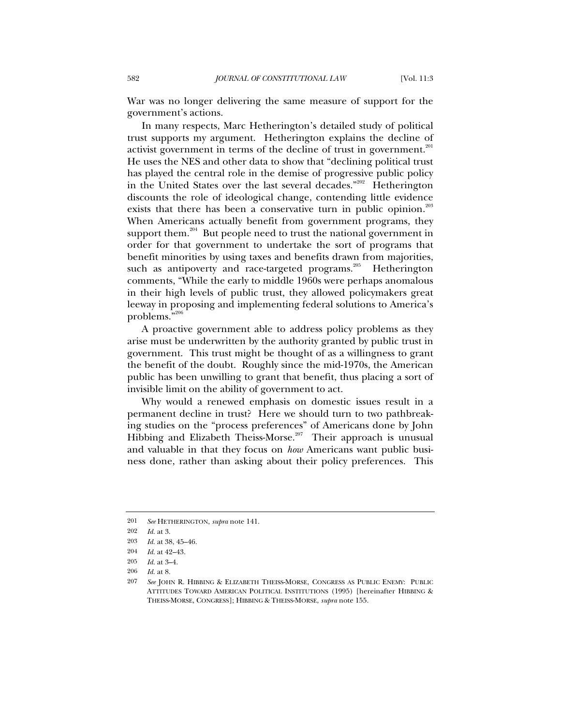War was no longer delivering the same measure of support for the government's actions.

In many respects, Marc Hetherington's detailed study of political trust supports my argument. Hetherington explains the decline of activist government in terms of the decline of trust in government.<sup>201</sup> He uses the NES and other data to show that "declining political trust has played the central role in the demise of progressive public policy in the United States over the last several decades."<sup>202</sup> Hetherington discounts the role of ideological change, contending little evidence exists that there has been a conservative turn in public opinion.<sup>203</sup> When Americans actually benefit from government programs, they support them.<sup>204</sup> But people need to trust the national government in order for that government to undertake the sort of programs that benefit minorities by using taxes and benefits drawn from majorities, such as antipoverty and race-targeted programs.<sup>205</sup> Hetherington comments, "While the early to middle 1960s were perhaps anomalous in their high levels of public trust, they allowed policymakers great leeway in proposing and implementing federal solutions to America's problems."<sup>206</sup>

A proactive government able to address policy problems as they arise must be underwritten by the authority granted by public trust in government. This trust might be thought of as a willingness to grant the benefit of the doubt. Roughly since the mid-1970s, the American public has been unwilling to grant that benefit, thus placing a sort of invisible limit on the ability of government to act.

Why would a renewed emphasis on domestic issues result in a permanent decline in trust? Here we should turn to two pathbreaking studies on the "process preferences" of Americans done by John Hibbing and Elizabeth Theiss-Morse.<sup>207</sup> Their approach is unusual and valuable in that they focus on *how* Americans want public business done, rather than asking about their policy preferences. This

<sup>201</sup> *See* HETHERINGTON, *supra* note 141.

<sup>202</sup> *Id.* at 3.

<sup>203</sup> *Id.* at 38, 45–46.

<sup>204</sup> *Id.* at 42–43.

<sup>205</sup> *Id.* at 3–4.

<sup>206</sup> *Id.* at 8.

<sup>207</sup> *See* JOHN R. HIBBING & ELIZABETH THEISS-MORSE, CONGRESS AS PUBLIC ENEMY: PUBLIC ATTITUDES TOWARD AMERICAN POLITICAL INSTITUTIONS (1995) [hereinafter HIBBING & THEISS-MORSE, CONGRESS]; HIBBING & THEISS-MORSE, *supra* note 155.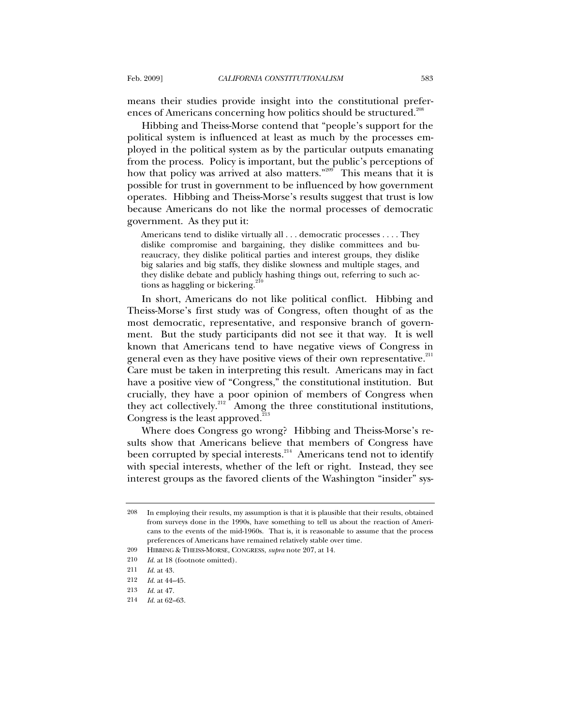means their studies provide insight into the constitutional preferences of Americans concerning how politics should be structured.<sup>208</sup>

Hibbing and Theiss-Morse contend that "people's support for the political system is influenced at least as much by the processes employed in the political system as by the particular outputs emanating from the process. Policy is important, but the public's perceptions of how that policy was arrived at also matters."<sup>209</sup> This means that it is possible for trust in government to be influenced by how government operates. Hibbing and Theiss-Morse's results suggest that trust is low because Americans do not like the normal processes of democratic government. As they put it:

Americans tend to dislike virtually all . . . democratic processes . . . . They dislike compromise and bargaining, they dislike committees and bureaucracy, they dislike political parties and interest groups, they dislike big salaries and big staffs, they dislike slowness and multiple stages, and they dislike debate and publicly hashing things out, referring to such actions as haggling or bickering.<sup>21</sup>

In short, Americans do not like political conflict. Hibbing and Theiss-Morse's first study was of Congress, often thought of as the most democratic, representative, and responsive branch of government. But the study participants did not see it that way. It is well known that Americans tend to have negative views of Congress in general even as they have positive views of their own representative.<sup>211</sup> Care must be taken in interpreting this result. Americans may in fact have a positive view of "Congress," the constitutional institution. But crucially, they have a poor opinion of members of Congress when they act collectively.<sup>212</sup> Among the three constitutional institutions, Congress is the least approved.<sup>213</sup>

Where does Congress go wrong? Hibbing and Theiss-Morse's results show that Americans believe that members of Congress have been corrupted by special interests.<sup>214</sup> Americans tend not to identify with special interests, whether of the left or right. Instead, they see interest groups as the favored clients of the Washington "insider" sys-

<sup>208</sup> In employing their results, my assumption is that it is plausible that their results, obtained from surveys done in the 1990s, have something to tell us about the reaction of Americans to the events of the mid-1960s. That is, it is reasonable to assume that the process preferences of Americans have remained relatively stable over time.

<sup>209</sup> HIBBING & THEISS-MORSE, CONGRESS, *supra* note 207, at 14.

<sup>210</sup> *Id.* at 18 (footnote omitted).

<sup>211</sup> *Id.* at 43.

<sup>212</sup> *Id.* at 44–45.

<sup>213</sup> *Id.* at 47.

<sup>214</sup> *Id.* at 62–63.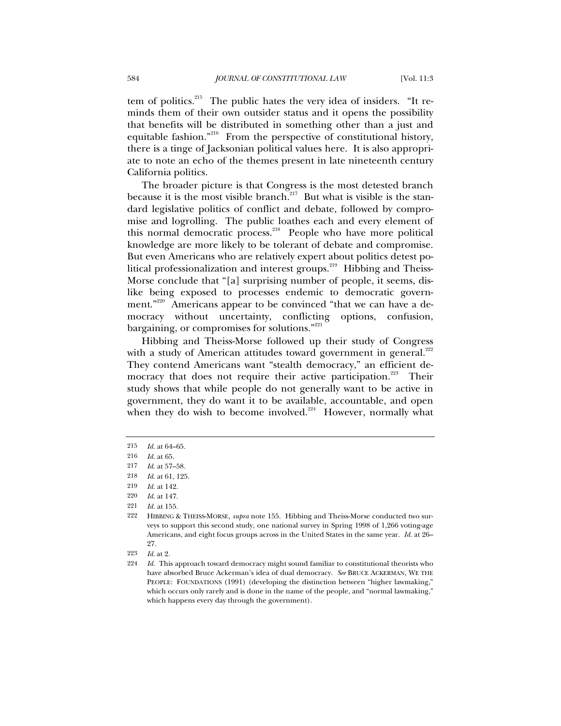tem of politics.<sup>215</sup> The public hates the very idea of insiders. "It reminds them of their own outsider status and it opens the possibility that benefits will be distributed in something other than a just and equitable fashion."<sup>216</sup> From the perspective of constitutional history, there is a tinge of Jacksonian political values here. It is also appropriate to note an echo of the themes present in late nineteenth century California politics.

The broader picture is that Congress is the most detested branch because it is the most visible branch.<sup>217</sup> But what is visible is the standard legislative politics of conflict and debate, followed by compromise and logrolling. The public loathes each and every element of this normal democratic process.218 People who have more political knowledge are more likely to be tolerant of debate and compromise. But even Americans who are relatively expert about politics detest political professionalization and interest groups.<sup>219</sup> Hibbing and Theiss-Morse conclude that "[a] surprising number of people, it seems, dislike being exposed to processes endemic to democratic government."<sup>220</sup> Americans appear to be convinced "that we can have a democracy without uncertainty, conflicting options, confusion, bargaining, or compromises for solutions."<sup>221</sup>

Hibbing and Theiss-Morse followed up their study of Congress with a study of American attitudes toward government in general.<sup>222</sup> They contend Americans want "stealth democracy," an efficient democracy that does not require their active participation.<sup>223</sup> Their study shows that while people do not generally want to be active in government, they do want it to be available, accountable, and open when they do wish to become involved.<sup>224</sup> However, normally what

220 *Id.* at 147.

<sup>215</sup> *Id.* at 64–65.

<sup>216</sup> *Id.* at 65.

<sup>217</sup> *Id.* at 57–58.

<sup>218</sup> *Id.* at 61, 125.

<sup>219</sup> *Id.* at 142.

<sup>221</sup> *Id.* at 155.

<sup>222</sup> HIBBING & THEISS-MORSE, *supra* note 155. Hibbing and Theiss-Morse conducted two surveys to support this second study, one national survey in Spring 1998 of 1,266 voting-age Americans, and eight focus groups across in the United States in the same year. *Id.* at 26– 27.

<sup>223</sup> *Id.* at 2.

<sup>224</sup> *Id.* This approach toward democracy might sound familiar to constitutional theorists who have absorbed Bruce Ackerman's idea of dual democracy. *See* BRUCE ACKERMAN, WE THE PEOPLE: FOUNDATIONS (1991) (developing the distinction between "higher lawmaking," which occurs only rarely and is done in the name of the people, and "normal lawmaking," which happens every day through the government).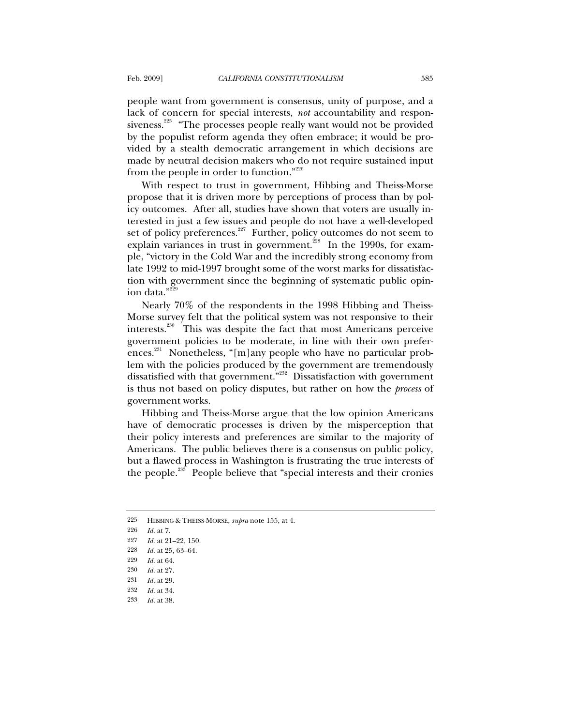people want from government is consensus, unity of purpose, and a lack of concern for special interests, *not* accountability and responsiveness.<sup>225</sup> "The processes people really want would not be provided by the populist reform agenda they often embrace; it would be provided by a stealth democratic arrangement in which decisions are made by neutral decision makers who do not require sustained input from the people in order to function."<sup>226</sup>

With respect to trust in government, Hibbing and Theiss-Morse propose that it is driven more by perceptions of process than by policy outcomes. After all, studies have shown that voters are usually interested in just a few issues and people do not have a well-developed set of policy preferences. $227$  Further, policy outcomes do not seem to explain variances in trust in government.<sup>228</sup> In the 1990s, for example, "victory in the Cold War and the incredibly strong economy from late 1992 to mid-1997 brought some of the worst marks for dissatisfaction with government since the beginning of systematic public opinion data."229

Nearly 70% of the respondents in the 1998 Hibbing and Theiss-Morse survey felt that the political system was not responsive to their interests.<sup>230</sup> This was despite the fact that most Americans perceive government policies to be moderate, in line with their own preferences.<sup>231</sup> Nonetheless, "[m]any people who have no particular problem with the policies produced by the government are tremendously dissatisfied with that government."<sup>232</sup> Dissatisfaction with government is thus not based on policy disputes, but rather on how the *process* of government works.

Hibbing and Theiss-Morse argue that the low opinion Americans have of democratic processes is driven by the misperception that their policy interests and preferences are similar to the majority of Americans. The public believes there is a consensus on public policy, but a flawed process in Washington is frustrating the true interests of the people.<sup>233</sup> People believe that "special interests and their cronies

<sup>225</sup> HIBBING & THEISS-MORSE, *supra* note 155, at 4.

<sup>226</sup> *Id.* at 7.

<sup>227</sup> *Id.* at 21–22, 150.

<sup>228</sup> *Id.* at 25, 63–64.

<sup>229</sup> *Id.* at 64.

<sup>230</sup> *Id.* at 27.

<sup>231</sup> *Id.* at 29.

<sup>232</sup> *Id.* at 34.

<sup>233</sup> *Id.* at 38.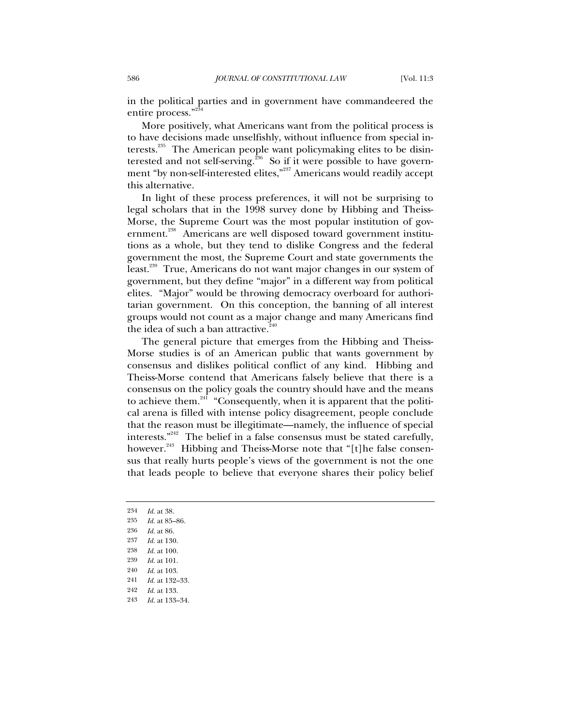in the political parties and in government have commandeered the entire process."23

More positively, what Americans want from the political process is to have decisions made unselfishly, without influence from special interests.<sup>235</sup> The American people want policymaking elites to be disinterested and not self-serving.<sup>236</sup> So if it were possible to have government "by non-self-interested elites,"<sup>237</sup> Americans would readily accept this alternative.

In light of these process preferences, it will not be surprising to legal scholars that in the 1998 survey done by Hibbing and Theiss-Morse, the Supreme Court was the most popular institution of government.<sup>238</sup> Americans are well disposed toward government institutions as a whole, but they tend to dislike Congress and the federal government the most, the Supreme Court and state governments the least.<sup>239</sup> True, Americans do not want major changes in our system of government, but they define "major" in a different way from political elites. "Major" would be throwing democracy overboard for authoritarian government. On this conception, the banning of all interest groups would not count as a major change and many Americans find the idea of such a ban attractive. $\lambda^2$ 

The general picture that emerges from the Hibbing and Theiss-Morse studies is of an American public that wants government by consensus and dislikes political conflict of any kind. Hibbing and Theiss-Morse contend that Americans falsely believe that there is a consensus on the policy goals the country should have and the means to achieve them. $241$  "Consequently, when it is apparent that the political arena is filled with intense policy disagreement, people conclude that the reason must be illegitimate—namely, the influence of special interests."242 The belief in a false consensus must be stated carefully, however.<sup>243</sup> Hibbing and Theiss-Morse note that "[t]he false consensus that really hurts people's views of the government is not the one that leads people to believe that everyone shares their policy belief

- 234 *Id.* at 38.
- 235 *Id.* at 85–86.
- 236 *Id.* at 86.

<sup>237</sup> *Id.* at 130.

<sup>238</sup> *Id.* at 100.

<sup>239</sup> *Id.* at 101.

<sup>240</sup> *Id.* at 103.

<sup>241</sup> *Id.* at 132–33.

<sup>242</sup> *Id.* at 133.

<sup>243</sup> *Id.* at 133–34.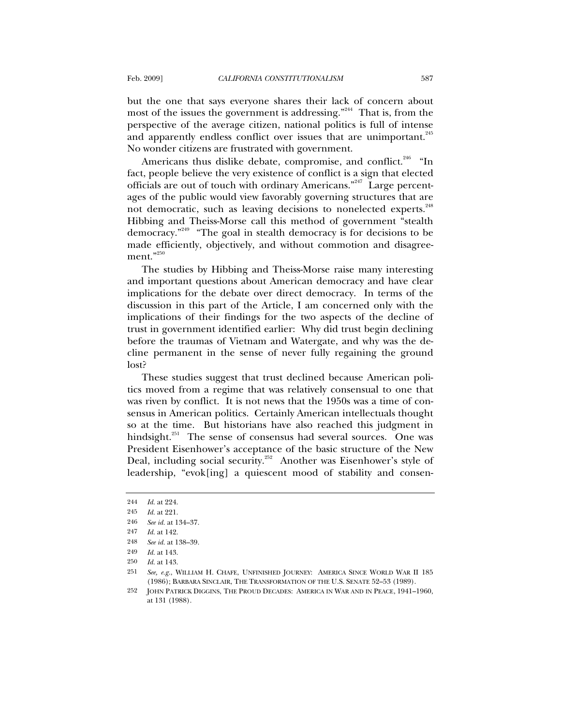but the one that says everyone shares their lack of concern about most of the issues the government is addressing. $n^{244}$  That is, from the perspective of the average citizen, national politics is full of intense and apparently endless conflict over issues that are unimportant.<sup>245</sup> No wonder citizens are frustrated with government.

Americans thus dislike debate, compromise, and conflict.<sup>246</sup> "In fact, people believe the very existence of conflict is a sign that elected officials are out of touch with ordinary Americans."<sup>247</sup> Large percentages of the public would view favorably governing structures that are not democratic, such as leaving decisions to nonelected experts.<sup>248</sup> Hibbing and Theiss-Morse call this method of government "stealth democracy."249 "The goal in stealth democracy is for decisions to be made efficiently, objectively, and without commotion and disagree $ment."^{250}$ 

The studies by Hibbing and Theiss-Morse raise many interesting and important questions about American democracy and have clear implications for the debate over direct democracy. In terms of the discussion in this part of the Article, I am concerned only with the implications of their findings for the two aspects of the decline of trust in government identified earlier: Why did trust begin declining before the traumas of Vietnam and Watergate, and why was the decline permanent in the sense of never fully regaining the ground lost?

These studies suggest that trust declined because American politics moved from a regime that was relatively consensual to one that was riven by conflict. It is not news that the 1950s was a time of consensus in American politics. Certainly American intellectuals thought so at the time. But historians have also reached this judgment in hindsight.<sup>251</sup> The sense of consensus had several sources. One was President Eisenhower's acceptance of the basic structure of the New Deal, including social security.<sup>252</sup> Another was Eisenhower's style of leadership, "evok[ing] a quiescent mood of stability and consen-

<sup>244</sup> *Id.* at 224.

<sup>245</sup> *Id.* at 221.

<sup>246</sup> *See id.* at 134–37.

<sup>247</sup> *Id.* at 142.

<sup>248</sup> *See id.* at 138–39.

<sup>249</sup> *Id.* at 143. 250 *Id.* at 143.

<sup>251</sup> *See, e.g.*, WILLIAM H. CHAFE, UNFINISHED JOURNEY: AMERICA SINCE WORLD WAR II 185 (1986); BARBARA SINCLAIR, THE TRANSFORMATION OF THE U.S. SENATE 52–53 (1989).

<sup>252</sup> JOHN PATRICK DIGGINS, THE PROUD DECADES: AMERICA IN WAR AND IN PEACE, 1941–1960, at 131 (1988).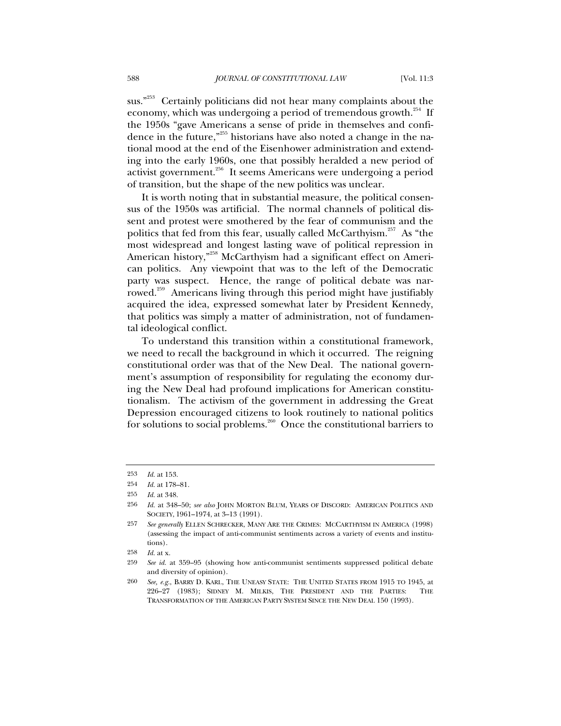sus."<sup> $253$ </sup> Certainly politicians did not hear many complaints about the economy, which was undergoing a period of tremendous growth.<sup>254</sup> If the 1950s "gave Americans a sense of pride in themselves and confidence in the future,"<sup>255</sup> historians have also noted a change in the national mood at the end of the Eisenhower administration and extending into the early 1960s, one that possibly heralded a new period of activist government.<sup>256</sup> It seems Americans were undergoing a period of transition, but the shape of the new politics was unclear.

It is worth noting that in substantial measure, the political consensus of the 1950s was artificial. The normal channels of political dissent and protest were smothered by the fear of communism and the politics that fed from this fear, usually called McCarthyism. $^{257}$  As "the most widespread and longest lasting wave of political repression in American history,"<sup>258</sup> McCarthyism had a significant effect on American politics. Any viewpoint that was to the left of the Democratic party was suspect. Hence, the range of political debate was narrowed.<sup>259</sup> Americans living through this period might have justifiably acquired the idea, expressed somewhat later by President Kennedy, that politics was simply a matter of administration, not of fundamental ideological conflict.

To understand this transition within a constitutional framework, we need to recall the background in which it occurred. The reigning constitutional order was that of the New Deal. The national government's assumption of responsibility for regulating the economy during the New Deal had profound implications for American constitutionalism. The activism of the government in addressing the Great Depression encouraged citizens to look routinely to national politics for solutions to social problems.<sup>260</sup> Once the constitutional barriers to

<sup>253</sup> *Id.* at 153.

<sup>254</sup> *Id.* at 178–81.

<sup>255</sup> *Id.* at 348.

<sup>256</sup> *Id.* at 348–50; *see also* JOHN MORTON BLUM, YEARS OF DISCORD: AMERICAN POLITICS AND SOCIETY, 1961–1974, at 3–13 (1991).

<sup>257</sup> *See generally* ELLEN SCHRECKER, MANY ARE THE CRIMES: MCCARTHYISM IN AMERICA (1998) (assessing the impact of anti-communist sentiments across a variety of events and institutions).

<sup>258</sup> *Id.* at x.

<sup>259</sup> *See id.* at 359–95 (showing how anti-communist sentiments suppressed political debate and diversity of opinion).

<sup>260</sup> *See, e.g.*, BARRY D. KARL, THE UNEASY STATE: THE UNITED STATES FROM 1915 TO 1945, at 226–27 (1983); SIDNEY M. MILKIS, THE PRESIDENT AND THE PARTIES: THE TRANSFORMATION OF THE AMERICAN PARTY SYSTEM SINCE THE NEW DEAL 150 (1993).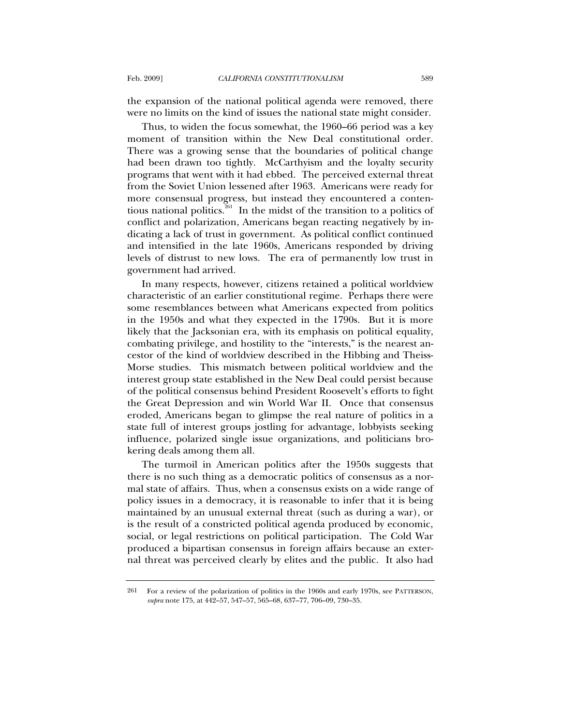the expansion of the national political agenda were removed, there were no limits on the kind of issues the national state might consider.

Thus, to widen the focus somewhat, the 1960–66 period was a key moment of transition within the New Deal constitutional order. There was a growing sense that the boundaries of political change had been drawn too tightly. McCarthyism and the loyalty security programs that went with it had ebbed. The perceived external threat from the Soviet Union lessened after 1963. Americans were ready for more consensual progress, but instead they encountered a contentious national politics.<sup> $261$ </sup> In the midst of the transition to a politics of conflict and polarization, Americans began reacting negatively by indicating a lack of trust in government. As political conflict continued and intensified in the late 1960s, Americans responded by driving levels of distrust to new lows. The era of permanently low trust in government had arrived.

In many respects, however, citizens retained a political worldview characteristic of an earlier constitutional regime. Perhaps there were some resemblances between what Americans expected from politics in the 1950s and what they expected in the 1790s. But it is more likely that the Jacksonian era, with its emphasis on political equality, combating privilege, and hostility to the "interests," is the nearest ancestor of the kind of worldview described in the Hibbing and Theiss-Morse studies. This mismatch between political worldview and the interest group state established in the New Deal could persist because of the political consensus behind President Roosevelt's efforts to fight the Great Depression and win World War II. Once that consensus eroded, Americans began to glimpse the real nature of politics in a state full of interest groups jostling for advantage, lobbyists seeking influence, polarized single issue organizations, and politicians brokering deals among them all.

The turmoil in American politics after the 1950s suggests that there is no such thing as a democratic politics of consensus as a normal state of affairs. Thus, when a consensus exists on a wide range of policy issues in a democracy, it is reasonable to infer that it is being maintained by an unusual external threat (such as during a war), or is the result of a constricted political agenda produced by economic, social, or legal restrictions on political participation. The Cold War produced a bipartisan consensus in foreign affairs because an external threat was perceived clearly by elites and the public. It also had

<sup>261</sup> For a review of the polarization of politics in the 1960s and early 1970s, see PATTERSON, *supra* note 175, at 442–57, 547–57, 565–68, 637–77, 706–09, 730–35.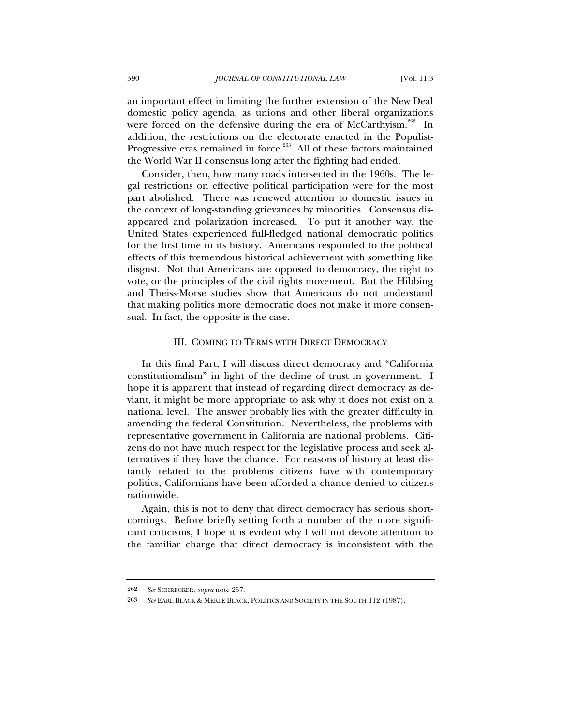an important effect in limiting the further extension of the New Deal domestic policy agenda, as unions and other liberal organizations were forced on the defensive during the era of McCarthyism.<sup>262</sup> In addition, the restrictions on the electorate enacted in the Populist-Progressive eras remained in force.<sup>263</sup> All of these factors maintained the World War II consensus long after the fighting had ended.

Consider, then, how many roads intersected in the 1960s. The legal restrictions on effective political participation were for the most part abolished. There was renewed attention to domestic issues in the context of long-standing grievances by minorities. Consensus disappeared and polarization increased. To put it another way, the United States experienced full-fledged national democratic politics for the first time in its history. Americans responded to the political effects of this tremendous historical achievement with something like disgust. Not that Americans are opposed to democracy, the right to vote, or the principles of the civil rights movement. But the Hibbing and Theiss-Morse studies show that Americans do not understand that making politics more democratic does not make it more consensual. In fact, the opposite is the case.

#### III. COMING TO TERMS WITH DIRECT DEMOCRACY

In this final Part, I will discuss direct democracy and "California constitutionalism" in light of the decline of trust in government. I hope it is apparent that instead of regarding direct democracy as deviant, it might be more appropriate to ask why it does not exist on a national level. The answer probably lies with the greater difficulty in amending the federal Constitution. Nevertheless, the problems with representative government in California are national problems. Citizens do not have much respect for the legislative process and seek alternatives if they have the chance. For reasons of history at least distantly related to the problems citizens have with contemporary politics, Californians have been afforded a chance denied to citizens nationwide.

Again, this is not to deny that direct democracy has serious shortcomings. Before briefly setting forth a number of the more significant criticisms, I hope it is evident why I will not devote attention to the familiar charge that direct democracy is inconsistent with the

<sup>262</sup> *See* SCHRECKER, *supra* note 257.

<sup>263</sup> *See* EARL BLACK & MERLE BLACK, POLITICS AND SOCIETY IN THE SOUTH 112 (1987).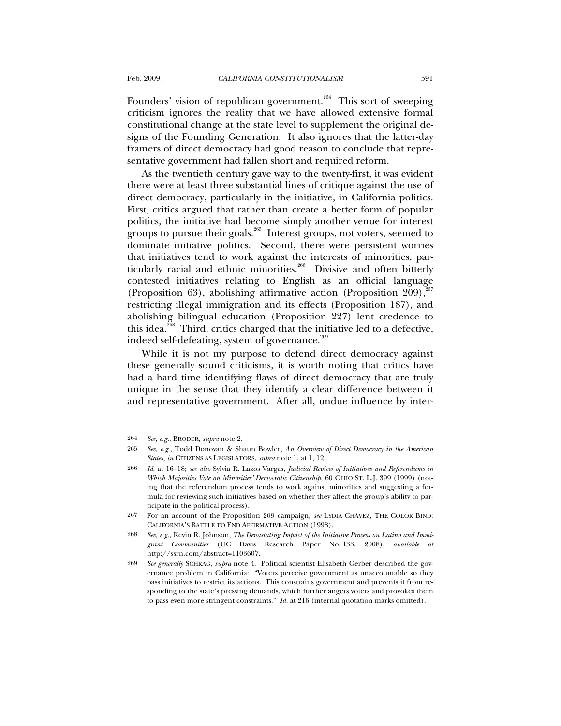Founders' vision of republican government.<sup>264</sup> This sort of sweeping criticism ignores the reality that we have allowed extensive formal constitutional change at the state level to supplement the original designs of the Founding Generation. It also ignores that the latter-day framers of direct democracy had good reason to conclude that representative government had fallen short and required reform.

As the twentieth century gave way to the twenty-first, it was evident there were at least three substantial lines of critique against the use of direct democracy, particularly in the initiative, in California politics. First, critics argued that rather than create a better form of popular politics, the initiative had become simply another venue for interest groups to pursue their goals.<sup>265</sup> Interest groups, not voters, seemed to dominate initiative politics. Second, there were persistent worries that initiatives tend to work against the interests of minorities, particularly racial and ethnic minorities.<sup>266</sup> Divisive and often bitterly contested initiatives relating to English as an official language (Proposition 63), abolishing affirmative action (Proposition 209),  $2^{67}$ restricting illegal immigration and its effects (Proposition 187), and abolishing bilingual education (Proposition 227) lent credence to this idea.<sup>268</sup> Third, critics charged that the initiative led to a defective, indeed self-defeating, system of governance.<sup>269</sup>

While it is not my purpose to defend direct democracy against these generally sound criticisms, it is worth noting that critics have had a hard time identifying flaws of direct democracy that are truly unique in the sense that they identify a clear difference between it and representative government. After all, undue influence by inter-

<sup>264</sup> *See, e.g.*, BRODER, *supra* note 2.

<sup>265</sup> *See, e.g.*, Todd Donovan & Shaun Bowler, *An Overview of Direct Democracy in the American States*, *in* CITIZENS AS LEGISLATORS, *supra* note 1, at 1, 12.

<sup>266</sup> *Id*. at 16–18; *see also* Sylvia R. Lazos Vargas, *Judicial Review of Initiatives and Referendums in Which Majorities Vote on Minorities' Democratic Citizenship*, 60 OHIO ST. L.J. 399 (1999) (noting that the referendum process tends to work against minorities and suggesting a formula for reviewing such initiatives based on whether they affect the group's ability to participate in the political process).

<sup>267</sup> For an account of the Proposition 209 campaign, *see* LYDIA CHÁVEZ, THE COLOR BIND: CALIFORNIA'S BATTLE TO END AFFIRMATIVE ACTION (1998).

<sup>268</sup> *See, e.g.*, Kevin R. Johnson, *The Devastating Impact of the Initiative Process on Latino and Immigrant Communities* (UC Davis Research Paper No. 133, 2008), *available at* http://ssrn.com/abstract=1103607.

<sup>269</sup> *See generally* SCHRAG, *supra* note 4. Political scientist Elisabeth Gerber described the governance problem in California: "Voters perceive government as unaccountable so they pass initiatives to restrict its actions. This constrains government and prevents it from responding to the state's pressing demands, which further angers voters and provokes them to pass even more stringent constraints." *Id.* at 216 (internal quotation marks omitted).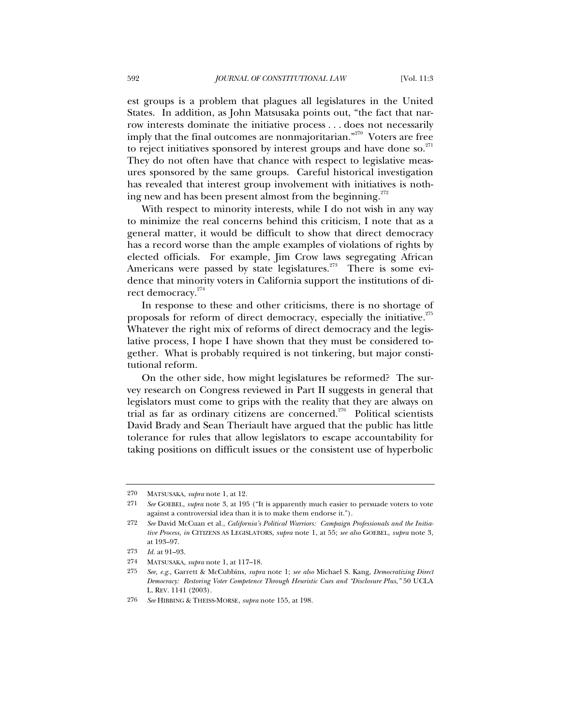est groups is a problem that plagues all legislatures in the United States. In addition, as John Matsusaka points out, "the fact that narrow interests dominate the initiative process . . . does not necessarily imply that the final outcomes are nonmajoritarian.<sup>"270</sup> Voters are free to reject initiatives sponsored by interest groups and have done so. $271$ They do not often have that chance with respect to legislative measures sponsored by the same groups. Careful historical investigation has revealed that interest group involvement with initiatives is nothing new and has been present almost from the beginning. $^{272}$ 

With respect to minority interests, while I do not wish in any way to minimize the real concerns behind this criticism, I note that as a general matter, it would be difficult to show that direct democracy has a record worse than the ample examples of violations of rights by elected officials. For example, Jim Crow laws segregating African Americans were passed by state legislatures.<sup>273</sup> There is some evidence that minority voters in California support the institutions of direct democracy.<sup>274</sup>

In response to these and other criticisms, there is no shortage of proposals for reform of direct democracy, especially the initiative. $275$ Whatever the right mix of reforms of direct democracy and the legislative process, I hope I have shown that they must be considered together. What is probably required is not tinkering, but major constitutional reform.

On the other side, how might legislatures be reformed? The survey research on Congress reviewed in Part II suggests in general that legislators must come to grips with the reality that they are always on trial as far as ordinary citizens are concerned.<sup>276</sup> Political scientists David Brady and Sean Theriault have argued that the public has little tolerance for rules that allow legislators to escape accountability for taking positions on difficult issues or the consistent use of hyperbolic

<sup>270</sup> MATSUSAKA, *supra* note 1, at 12.

<sup>271</sup> *See* GOEBEL, *supra* note 3, at 195 ("It is apparently much easier to persuade voters to vote against a controversial idea than it is to make them endorse it.").

<sup>272</sup> *See* David McCuan et al., *California's Political Warriors: Campaign Professionals and the Initiative Process*, *in* CITIZENS AS LEGISLATORS, *supra* note 1, at 55; *see also* GOEBEL, *supra* note 3, at 193–97.

<sup>273</sup> *Id.* at 91–93.

<sup>274</sup> MATSUSAKA, *supra* note 1, at 117–18.

<sup>275</sup> *See, e.g.*, Garrett & McCubbins, *supra* note 1; *see also* Michael S. Kang, *Democratizing Direct Democracy: Restoring Voter Competence Through Heuristic Cues and "Disclosure Plus*,*"* 50 UCLA L. REV. 1141 (2003).

<sup>276</sup> *See* HIBBING & THEISS-MORSE, *supra* note 155, at 198.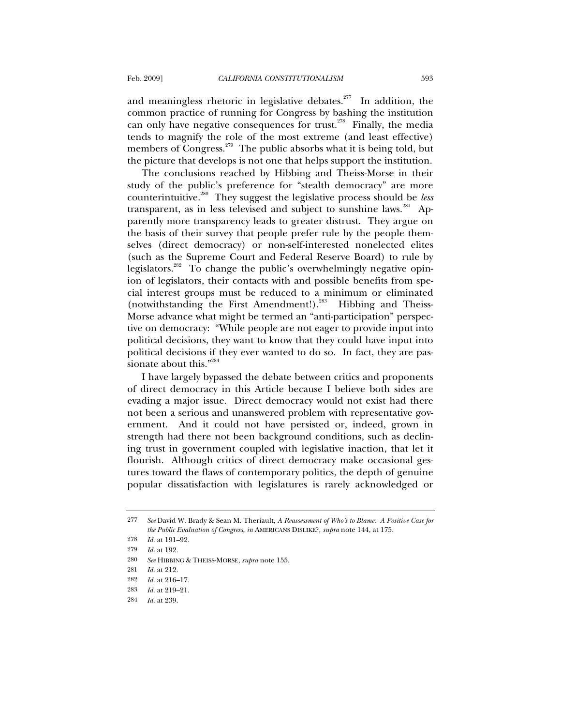and meaningless rhetoric in legislative debates.<sup>277</sup> In addition, the common practice of running for Congress by bashing the institution can only have negative consequences for trust.<sup>278</sup> Finally, the media tends to magnify the role of the most extreme (and least effective) members of Congress.<sup>279</sup> The public absorbs what it is being told, but the picture that develops is not one that helps support the institution.

The conclusions reached by Hibbing and Theiss-Morse in their study of the public's preference for "stealth democracy" are more counterintuitive.280 They suggest the legislative process should be *less* transparent, as in less televised and subject to sunshine laws. $^{281}$  Apparently more transparency leads to greater distrust. They argue on the basis of their survey that people prefer rule by the people themselves (direct democracy) or non-self-interested nonelected elites (such as the Supreme Court and Federal Reserve Board) to rule by legislators.<sup>282</sup> To change the public's overwhelmingly negative opinion of legislators, their contacts with and possible benefits from special interest groups must be reduced to a minimum or eliminated (notwithstanding the First Amendment!).<sup>283</sup> Hibbing and Theiss-Morse advance what might be termed an "anti-participation" perspective on democracy: "While people are not eager to provide input into political decisions, they want to know that they could have input into political decisions if they ever wanted to do so. In fact, they are passionate about this."<sup>284</sup>

I have largely bypassed the debate between critics and proponents of direct democracy in this Article because I believe both sides are evading a major issue. Direct democracy would not exist had there not been a serious and unanswered problem with representative government. And it could not have persisted or, indeed, grown in strength had there not been background conditions, such as declining trust in government coupled with legislative inaction, that let it flourish. Although critics of direct democracy make occasional gestures toward the flaws of contemporary politics, the depth of genuine popular dissatisfaction with legislatures is rarely acknowledged or

<sup>277</sup> *See* David W. Brady & Sean M. Theriault, *A Reassessment of Who's to Blame: A Positive Case for the Public Evaluation of Congress*, *in* AMERICANS DISLIKE?, *supra* note 144, at 175.

<sup>278</sup> *Id.* at 191–92.

<sup>279</sup> *Id.* at 192.

<sup>280</sup> *See* HIBBING & THEISS-MORSE, *supra* note 155.

<sup>281</sup> *Id.* at 212.

<sup>282</sup> *Id.* at 216–17.

<sup>283</sup> *Id.* at 219–21.

<sup>284</sup> *Id.* at 239.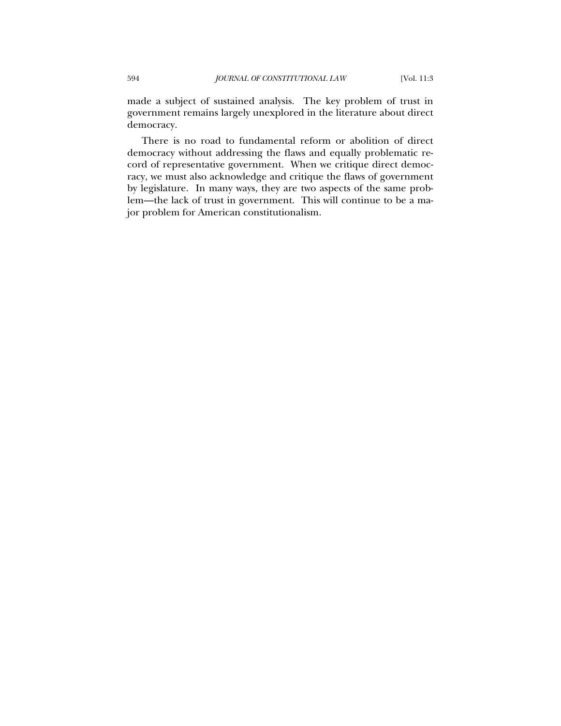made a subject of sustained analysis. The key problem of trust in government remains largely unexplored in the literature about direct democracy.

There is no road to fundamental reform or abolition of direct democracy without addressing the flaws and equally problematic record of representative government. When we critique direct democracy, we must also acknowledge and critique the flaws of government by legislature. In many ways, they are two aspects of the same problem—the lack of trust in government. This will continue to be a major problem for American constitutionalism.